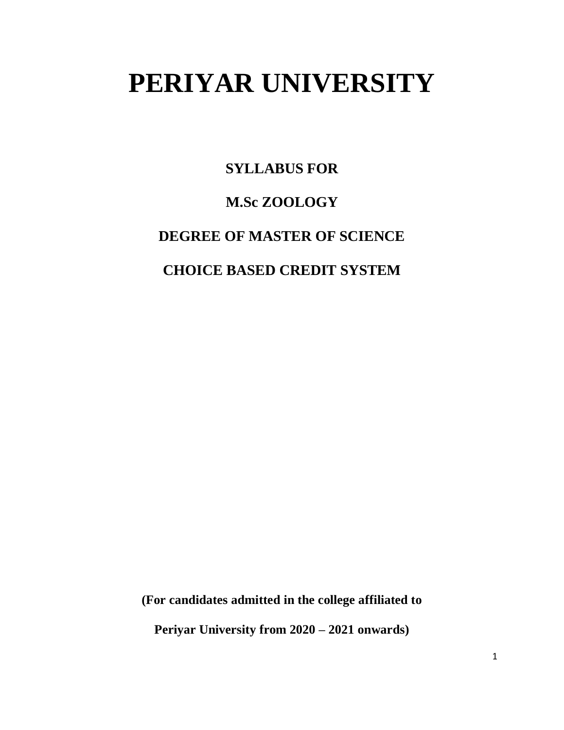# **PERIYAR UNIVERSITY**

**SYLLABUS FOR**

### **M.Sc ZOOLOGY**

**DEGREE OF MASTER OF SCIENCE**

**CHOICE BASED CREDIT SYSTEM**

**(For candidates admitted in the college affiliated to** 

**Periyar University from 2020 – 2021 onwards)**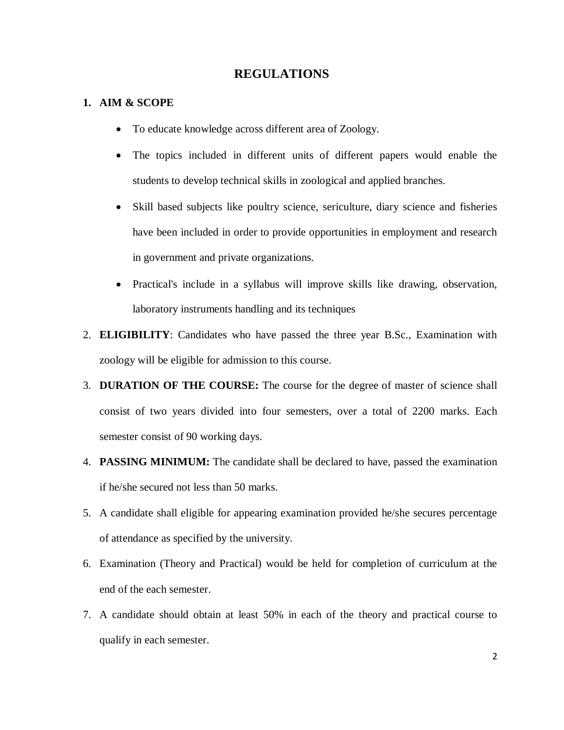### **REGULATIONS**

#### **1. AIM & SCOPE**

- To educate knowledge across different area of Zoology.
- The topics included in different units of different papers would enable the students to develop technical skills in zoological and applied branches.
- Skill based subjects like poultry science, sericulture, diary science and fisheries have been included in order to provide opportunities in employment and research in government and private organizations.
- Practical's include in a syllabus will improve skills like drawing, observation, laboratory instruments handling and its techniques
- 2. **ELIGIBILITY**: Candidates who have passed the three year B.Sc., Examination with zoology will be eligible for admission to this course.
- 3. **DURATION OF THE COURSE:** The course for the degree of master of science shall consist of two years divided into four semesters, over a total of 2200 marks. Each semester consist of 90 working days.
- 4. **PASSING MINIMUM:** The candidate shall be declared to have, passed the examination if he/she secured not less than 50 marks.
- 5. A candidate shall eligible for appearing examination provided he/she secures percentage of attendance as specified by the university.
- 6. Examination (Theory and Practical) would be held for completion of curriculum at the end of the each semester.
- 7. A candidate should obtain at least 50% in each of the theory and practical course to qualify in each semester.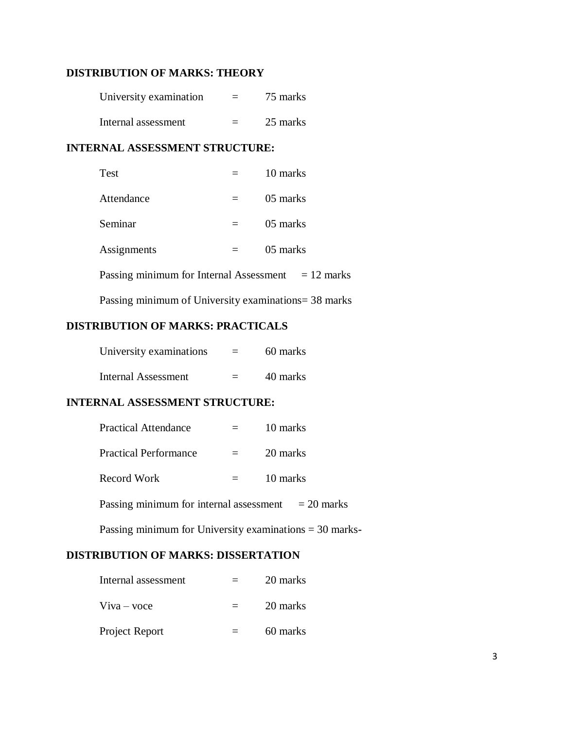### **DISTRIBUTION OF MARKS: THEORY**

| University examination | $=$ | 75 marks |
|------------------------|-----|----------|
| Internal assessment    | $=$ | 25 marks |

### **INTERNAL ASSESSMENT STRUCTURE:**

| Test                                                 |     | 10 marks |
|------------------------------------------------------|-----|----------|
| Attendance                                           |     | 05 marks |
| Seminar                                              |     | 05 marks |
| Assignments                                          | $=$ | 05 marks |
| Passing minimum for Internal Assessment $= 12$ marks |     |          |

Passing minimum of University examinations= 38 marks

### **DISTRIBUTION OF MARKS: PRACTICALS**

| University examinations    | 60 marks |
|----------------------------|----------|
| <b>Internal Assessment</b> | 40 marks |

#### **INTERNAL ASSESSMENT STRUCTURE:**

| $=$ | 10 marks |
|-----|----------|
|     | 20 marks |
| $=$ | 10 marks |
|     |          |

Passing minimum for internal assessment  $= 20$  marks

Passing minimum for University examinations = 30 marks**-**

### **DISTRIBUTION OF MARKS: DISSERTATION**

| Internal assessment | 20 marks |
|---------------------|----------|
| Viva – voce         | 20 marks |
| Project Report      | 60 marks |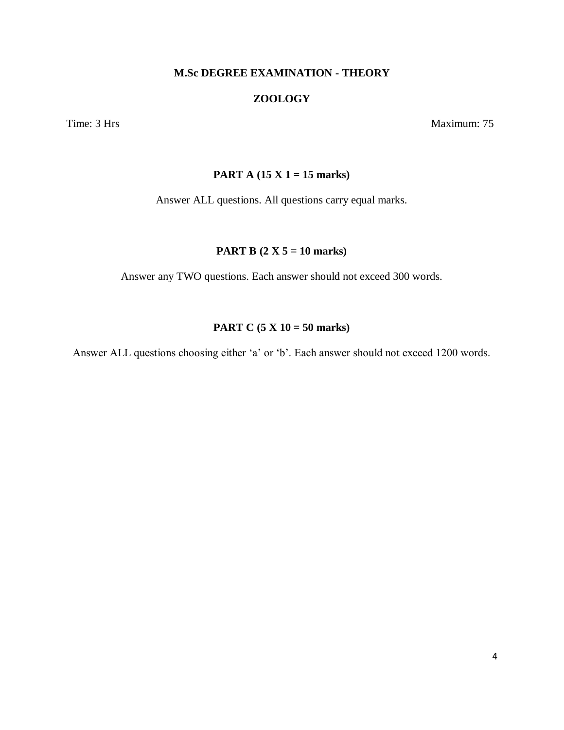### **M.Sc DEGREE EXAMINATION - THEORY**

### **ZOOLOGY**

Time: 3 Hrs Maximum: 75

### **PART A (15 X 1 = 15 marks)**

Answer ALL questions. All questions carry equal marks.

#### **PART B (2 X 5 = 10 marks)**

Answer any TWO questions. Each answer should not exceed 300 words.

### **PART C (5 X 10 = 50 marks)**

Answer ALL questions choosing either 'a' or 'b'. Each answer should not exceed 1200 words.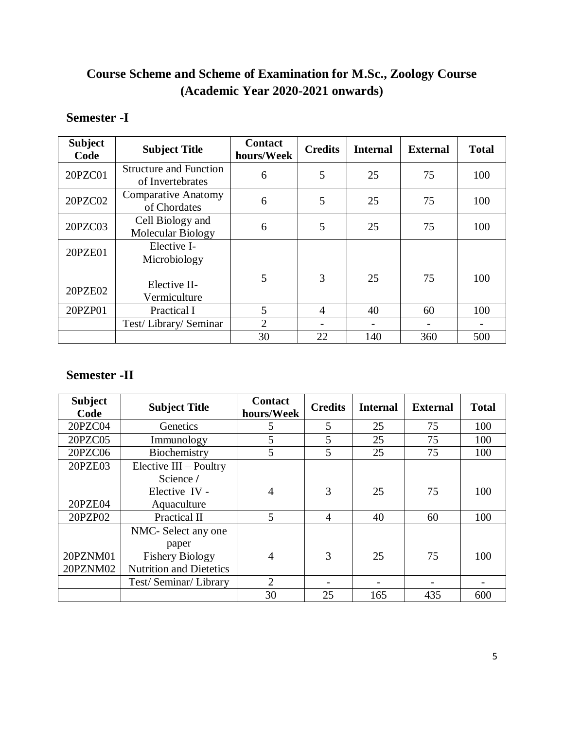### **Course Scheme and Scheme of Examination for M.Sc., Zoology Course (Academic Year 2020-2021 onwards)**

### **Semester -I**

| <b>Subject</b><br>Code | <b>Subject Title</b>                              | <b>Contact</b><br>hours/Week | <b>Credits</b> | <b>Internal</b> | <b>External</b> | <b>Total</b> |
|------------------------|---------------------------------------------------|------------------------------|----------------|-----------------|-----------------|--------------|
| 20PZC01                | <b>Structure and Function</b><br>of Invertebrates | 6                            | 5              | 25              | 75              | 100          |
| 20PZC02                | <b>Comparative Anatomy</b><br>of Chordates        | 6                            | 5              | 25              | 75              | 100          |
| 20PZC03                | Cell Biology and<br>Molecular Biology             | 6                            | 5              | 25              | 75              | 100          |
| 20PZE01                | Elective I-<br>Microbiology                       |                              |                |                 |                 |              |
| 20PZE02                | Elective II-<br>Vermiculture                      | 5                            | 3              | 25              | 75              | 100          |
| 20PZP01                | Practical I                                       | 5                            | $\overline{A}$ | 40              | 60              | 100          |
|                        | Test/Library/Seminar                              | $\overline{2}$               |                |                 |                 |              |
|                        |                                                   | 30                           | 22             | 140             | 360             | 500          |

### **Semester -II**

| <b>Subject</b><br>Code | <b>Subject Title</b>           | <b>Contact</b><br>hours/Week | <b>Credits</b> | <b>Internal</b> | <b>External</b> | <b>Total</b> |
|------------------------|--------------------------------|------------------------------|----------------|-----------------|-----------------|--------------|
| 20PZC04                | Genetics                       | 5                            | 5              | 25              | 75              | 100          |
| 20PZC05                | Immunology                     | 5                            | 5              | 25              | 75              | 100          |
| 20PZC06                | Biochemistry                   | 5                            | 5              | 25              | 75              | 100          |
| 20PZE03                | Elective III - Poultry         |                              |                |                 |                 |              |
|                        | Science /                      |                              |                |                 |                 |              |
|                        | Elective IV -                  | 4                            | 3              | 25              | 75              | 100          |
| 20PZE04                | Aquaculture                    |                              |                |                 |                 |              |
| 20PZP02                | Practical II                   | 5                            | 4              | 40              | 60              | 100          |
|                        | NMC- Select any one            |                              |                |                 |                 |              |
|                        | paper                          |                              |                |                 |                 |              |
| 20PZNM01               | <b>Fishery Biology</b>         | 4                            | 3              | 25              | 75              | 100          |
| 20PZNM02               | <b>Nutrition and Dietetics</b> |                              |                |                 |                 |              |
|                        | Test/Seminar/Library           | $\overline{2}$               |                |                 |                 |              |
|                        |                                | 30                           | 25             | 165             | 435             | 600          |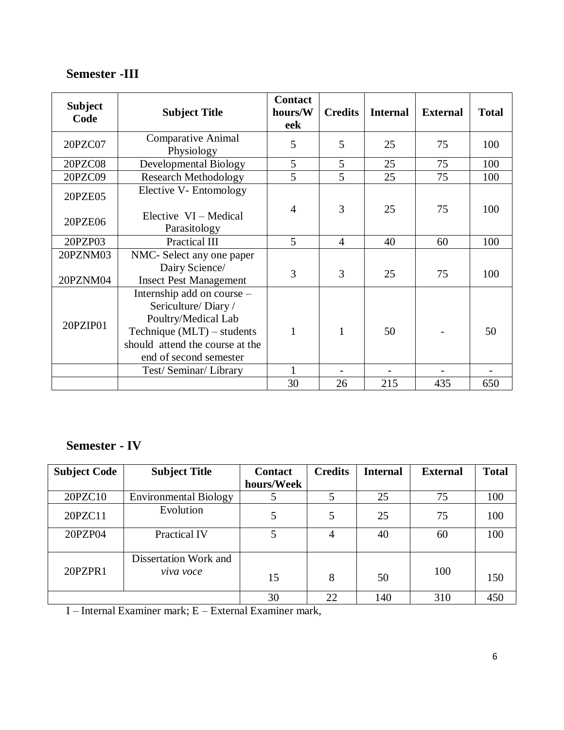### **Semester -III**

| <b>Subject</b><br>Code | <b>Subject Title</b>                                                                                                                                                 | <b>Contact</b><br>hours/W<br>eek | <b>Credits</b> | <b>Internal</b> | <b>External</b> | <b>Total</b> |
|------------------------|----------------------------------------------------------------------------------------------------------------------------------------------------------------------|----------------------------------|----------------|-----------------|-----------------|--------------|
| 20PZC07                | <b>Comparative Animal</b><br>Physiology                                                                                                                              | 5                                | 5              | 25              | 75              | 100          |
| <b>20PZC08</b>         | <b>Developmental Biology</b>                                                                                                                                         | 5                                | 5              | 25              | 75              | 100          |
| 20PZC09                | <b>Research Methodology</b>                                                                                                                                          | $\overline{5}$                   | 5              | 25              | 75              | 100          |
| 20PZE05                | Elective V- Entomology                                                                                                                                               | 4                                | 3              | 25              | 75              | 100          |
| 20PZE06                | Elective VI – Medical<br>Parasitology                                                                                                                                |                                  |                |                 |                 |              |
| 20PZP03                | Practical III                                                                                                                                                        | 5                                | $\overline{4}$ | 40              | 60              | 100          |
| 20PZNM03<br>20PZNM04   | NMC- Select any one paper<br>Dairy Science/<br><b>Insect Pest Management</b>                                                                                         | 3                                | 3              | 25              | 75              | 100          |
| 20PZIP01               | Internship add on course -<br>Sericulture/Diary/<br>Poultry/Medical Lab<br>Technique $(MLT)$ – students<br>should attend the course at the<br>end of second semester | $\mathbf{1}$                     | 1              | 50              |                 | 50           |
|                        | Test/Seminar/Library                                                                                                                                                 | 1                                |                |                 |                 |              |
|                        |                                                                                                                                                                      | 30                               | 26             | 215             | 435             | 650          |

## **Semester - IV**

| <b>Subject Code</b> | <b>Subject Title</b>               | <b>Contact</b> | <b>Credits</b> | <b>Internal</b> | <b>External</b> | <b>Total</b> |
|---------------------|------------------------------------|----------------|----------------|-----------------|-----------------|--------------|
|                     |                                    | hours/Week     |                |                 |                 |              |
| 20PZC10             | <b>Environmental Biology</b>       |                |                | 25              | 75              | 100          |
| 20PZC11             | Evolution                          | 5              | 5              | 25              | 75              | 100          |
| 20PZP04             | <b>Practical IV</b>                | 5              | 4              | 40              | 60              | 100          |
| 20PZPR1             | Dissertation Work and<br>viva voce | 15             | 8              | 50              | 100             | 150          |
|                     |                                    | 30             | 22             | 140             | 310             | 450          |

I – Internal Examiner mark; E – External Examiner mark,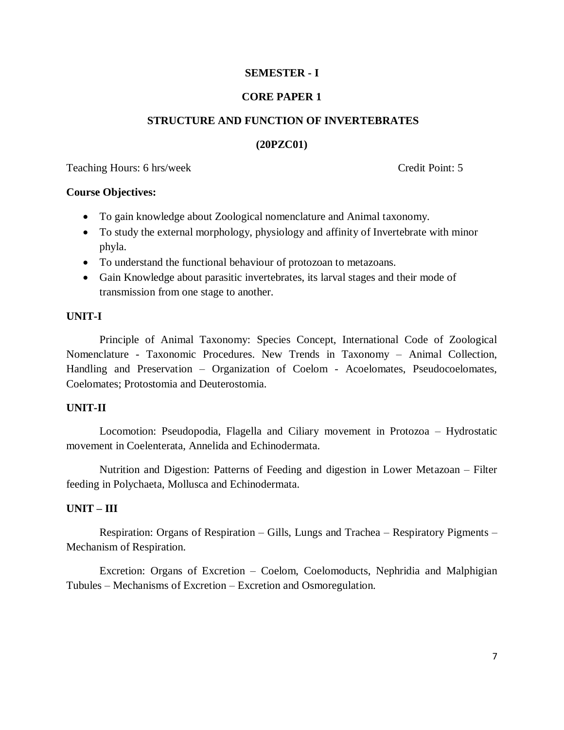### **SEMESTER - I**

#### **CORE PAPER 1**

#### **STRUCTURE AND FUNCTION OF INVERTEBRATES**

#### **(20PZC01)**

Teaching Hours: 6 hrs/week Credit Point: 5

#### **Course Objectives:**

- To gain knowledge about Zoological nomenclature and Animal taxonomy.
- To study the external morphology, physiology and affinity of Invertebrate with minor phyla.
- To understand the functional behaviour of protozoan to metazoans.
- Gain Knowledge about parasitic invertebrates, its larval stages and their mode of transmission from one stage to another.

#### **UNIT-I**

Principle of Animal Taxonomy: Species Concept, International Code of Zoological Nomenclature - Taxonomic Procedures. New Trends in Taxonomy – Animal Collection, Handling and Preservation – Organization of Coelom - Acoelomates, Pseudocoelomates, Coelomates; Protostomia and Deuterostomia.

#### **UNIT-II**

Locomotion: Pseudopodia, Flagella and Ciliary movement in Protozoa – Hydrostatic movement in Coelenterata, Annelida and Echinodermata.

Nutrition and Digestion: Patterns of Feeding and digestion in Lower Metazoan – Filter feeding in Polychaeta, Mollusca and Echinodermata.

#### **UNIT – III**

Respiration: Organs of Respiration – Gills, Lungs and Trachea – Respiratory Pigments – Mechanism of Respiration.

Excretion: Organs of Excretion – Coelom, Coelomoducts, Nephridia and Malphigian Tubules – Mechanisms of Excretion – Excretion and Osmoregulation.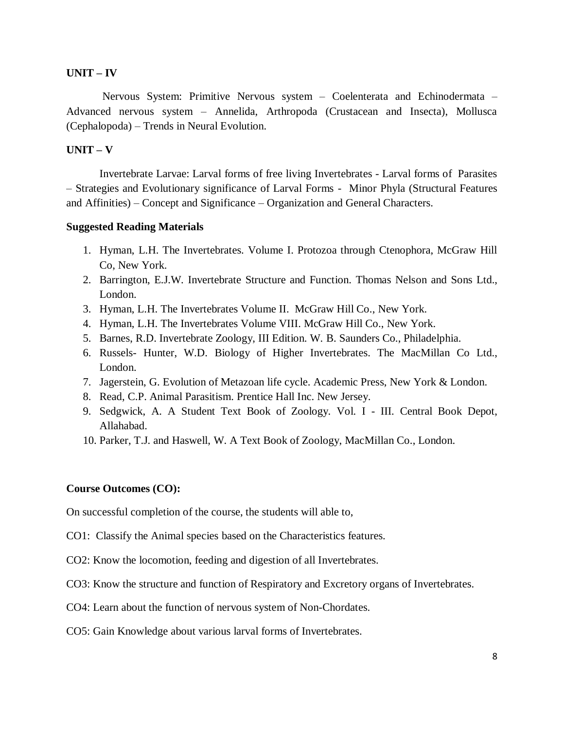#### **UNIT – IV**

Nervous System: Primitive Nervous system – Coelenterata and Echinodermata – Advanced nervous system – Annelida, Arthropoda (Crustacean and Insecta), Mollusca (Cephalopoda) – Trends in Neural Evolution.

#### **UNIT – V**

Invertebrate Larvae: Larval forms of free living Invertebrates - Larval forms of Parasites – Strategies and Evolutionary significance of Larval Forms - Minor Phyla (Structural Features and Affinities) – Concept and Significance – Organization and General Characters.

#### **Suggested Reading Materials**

- 1. Hyman, L.H. The Invertebrates. Volume I. Protozoa through Ctenophora, McGraw Hill Co, New York.
- 2. Barrington, E.J.W. Invertebrate Structure and Function. Thomas Nelson and Sons Ltd., London.
- 3. Hyman, L.H. The Invertebrates Volume II. McGraw Hill Co., New York.
- 4. Hyman, L.H. The Invertebrates Volume VIII. McGraw Hill Co., New York.
- 5. Barnes, R.D. Invertebrate Zoology, III Edition. W. B. Saunders Co., Philadelphia.
- 6. Russels- Hunter, W.D. Biology of Higher Invertebrates. The MacMillan Co Ltd., London.
- 7. Jagerstein, G. Evolution of Metazoan life cycle. Academic Press, New York & London.
- 8. Read, C.P. Animal Parasitism. Prentice Hall Inc. New Jersey.
- 9. Sedgwick, A. A Student Text Book of Zoology. Vol. I III. Central Book Depot, Allahabad.
- 10. Parker, T.J. and Haswell, W. A Text Book of Zoology, MacMillan Co., London.

#### **Course Outcomes (CO):**

On successful completion of the course, the students will able to,

- CO1: Classify the Animal species based on the Characteristics features.
- CO2: Know the locomotion, feeding and digestion of all Invertebrates.
- CO3: Know the structure and function of Respiratory and Excretory organs of Invertebrates.
- CO4: Learn about the function of nervous system of Non-Chordates.
- CO5: Gain Knowledge about various larval forms of Invertebrates.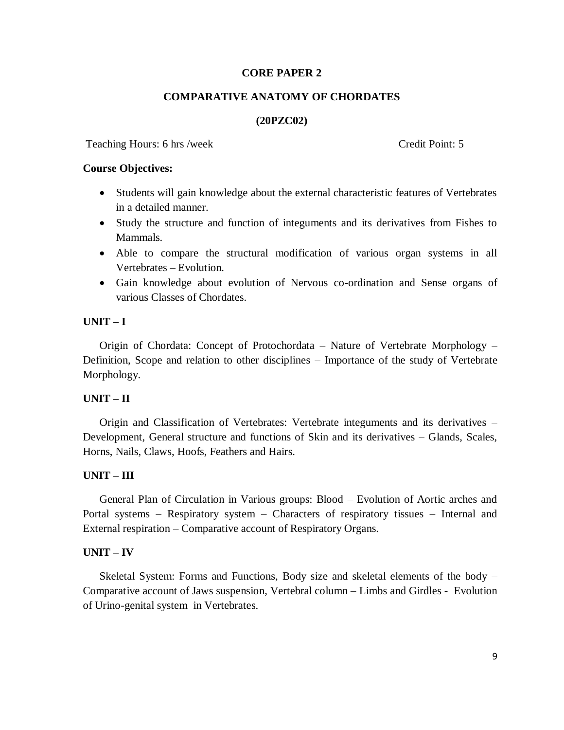#### **CORE PAPER 2**

#### **COMPARATIVE ANATOMY OF CHORDATES**

#### **(20PZC02)**

Teaching Hours: 6 hrs /week Credit Point: 5

#### **Course Objectives:**

- Students will gain knowledge about the external characteristic features of Vertebrates in a detailed manner.
- Study the structure and function of integuments and its derivatives from Fishes to Mammals.
- Able to compare the structural modification of various organ systems in all Vertebrates – Evolution.
- Gain knowledge about evolution of Nervous co-ordination and Sense organs of various Classes of Chordates.

#### **UNIT – I**

Origin of Chordata: Concept of Protochordata – Nature of Vertebrate Morphology – Definition, Scope and relation to other disciplines – Importance of the study of Vertebrate Morphology.

#### **UNIT – II**

Origin and Classification of Vertebrates: Vertebrate integuments and its derivatives – Development, General structure and functions of Skin and its derivatives – Glands, Scales, Horns, Nails, Claws, Hoofs, Feathers and Hairs.

#### **UNIT – III**

General Plan of Circulation in Various groups: Blood – Evolution of Aortic arches and Portal systems – Respiratory system – Characters of respiratory tissues – Internal and External respiration – Comparative account of Respiratory Organs.

#### **UNIT – IV**

Skeletal System: Forms and Functions, Body size and skeletal elements of the body – Comparative account of Jaws suspension, Vertebral column – Limbs and Girdles - Evolution of Urino-genital system in Vertebrates.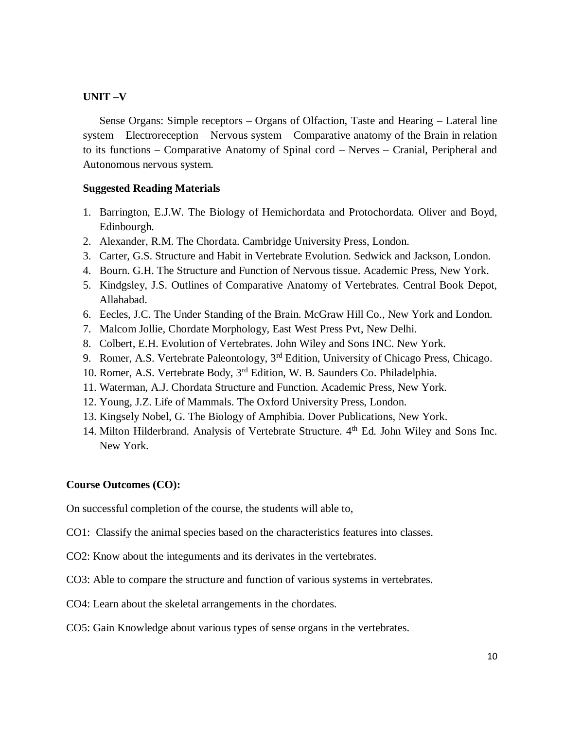#### **UNIT –V**

Sense Organs: Simple receptors – Organs of Olfaction, Taste and Hearing – Lateral line system – Electroreception – Nervous system – Comparative anatomy of the Brain in relation to its functions – Comparative Anatomy of Spinal cord – Nerves – Cranial, Peripheral and Autonomous nervous system.

#### **Suggested Reading Materials**

- 1. Barrington, E.J.W. The Biology of Hemichordata and Protochordata. Oliver and Boyd, Edinbourgh.
- 2. Alexander, R.M. The Chordata. Cambridge University Press, London.
- 3. Carter, G.S. Structure and Habit in Vertebrate Evolution. Sedwick and Jackson, London.
- 4. Bourn. G.H. The Structure and Function of Nervous tissue. Academic Press, New York.
- 5. Kindgsley, J.S. Outlines of Comparative Anatomy of Vertebrates. Central Book Depot, Allahabad.
- 6. Eecles, J.C. The Under Standing of the Brain. McGraw Hill Co., New York and London.
- 7. Malcom Jollie, Chordate Morphology, East West Press Pvt, New Delhi.
- 8. Colbert, E.H. Evolution of Vertebrates. John Wiley and Sons INC. New York.
- 9. Romer, A.S. Vertebrate Paleontology, 3<sup>rd</sup> Edition, University of Chicago Press, Chicago.
- 10. Romer, A.S. Vertebrate Body, 3rd Edition, W. B. Saunders Co. Philadelphia.
- 11. Waterman, A.J. Chordata Structure and Function. Academic Press, New York.
- 12. Young, J.Z. Life of Mammals. The Oxford University Press, London.
- 13. Kingsely Nobel, G. The Biology of Amphibia. Dover Publications, New York.
- 14. Milton Hilderbrand. Analysis of Vertebrate Structure. 4<sup>th</sup> Ed. John Wiley and Sons Inc. New York.

#### **Course Outcomes (CO):**

On successful completion of the course, the students will able to,

- CO1: Classify the animal species based on the characteristics features into classes.
- CO2: Know about the integuments and its derivates in the vertebrates.
- CO3: Able to compare the structure and function of various systems in vertebrates.
- CO4: Learn about the skeletal arrangements in the chordates.
- CO5: Gain Knowledge about various types of sense organs in the vertebrates.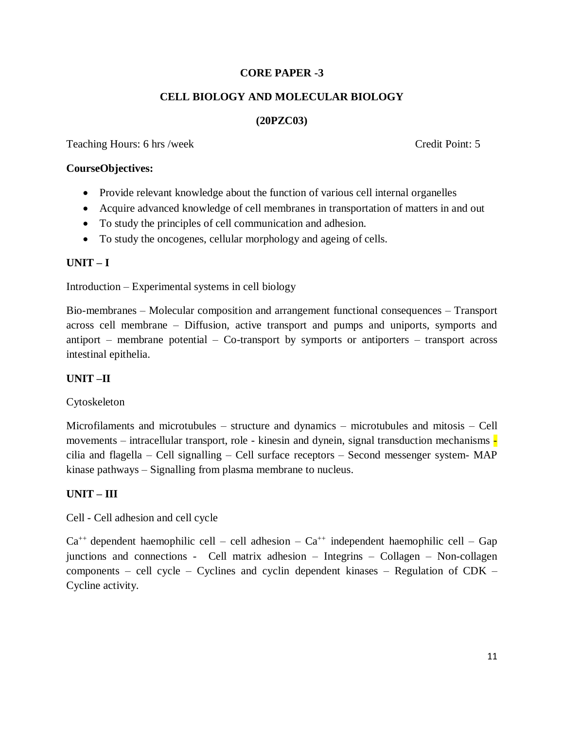### **CORE PAPER -3**

### **CELL BIOLOGY AND MOLECULAR BIOLOGY**

### **(20PZC03)**

Teaching Hours: 6 hrs /week Credit Point: 5

#### **CourseObjectives:**

- Provide relevant knowledge about the function of various cell internal organelles
- Acquire advanced knowledge of cell membranes in transportation of matters in and out
- To study the principles of cell communication and adhesion.
- To study the oncogenes, cellular morphology and ageing of cells.

### **UNIT – I**

Introduction – Experimental systems in cell biology

Bio-membranes – Molecular composition and arrangement functional consequences – Transport across cell membrane – Diffusion, active transport and pumps and uniports, symports and antiport – membrane potential – Co-transport by symports or antiporters – transport across intestinal epithelia.

### **UNIT –II**

### Cytoskeleton

Microfilaments and microtubules – structure and dynamics – microtubules and mitosis – Cell movements – intracellular transport, role - kinesin and dynein, signal transduction mechanisms cilia and flagella – Cell signalling – Cell surface receptors – Second messenger system- MAP kinase pathways – Signalling from plasma membrane to nucleus.

### **UNIT – III**

Cell - Cell adhesion and cell cycle

 $Ca^{++}$  dependent haemophilic cell – cell adhesion –  $Ca^{++}$  independent haemophilic cell – Gap junctions and connections - Cell matrix adhesion – Integrins – Collagen – Non-collagen components – cell cycle – Cyclines and cyclin dependent kinases – Regulation of CDK – Cycline activity.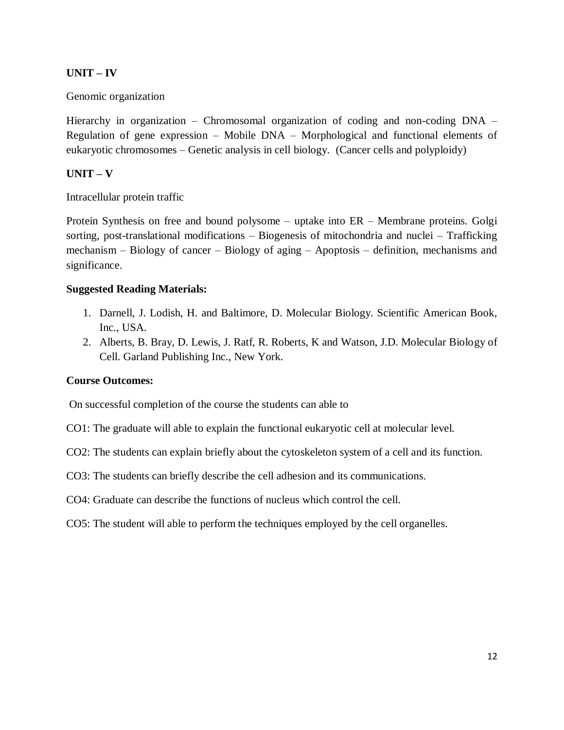### **UNIT – IV**

### Genomic organization

Hierarchy in organization – Chromosomal organization of coding and non-coding DNA – Regulation of gene expression – Mobile DNA – Morphological and functional elements of eukaryotic chromosomes – Genetic analysis in cell biology. (Cancer cells and polyploidy)

### **UNIT – V**

Intracellular protein traffic

Protein Synthesis on free and bound polysome – uptake into ER – Membrane proteins. Golgi sorting, post-translational modifications – Biogenesis of mitochondria and nuclei – Trafficking mechanism – Biology of cancer – Biology of aging – Apoptosis – definition, mechanisms and significance.

#### **Suggested Reading Materials:**

- 1. Darnell, J. Lodish, H. and Baltimore, D. Molecular Biology. Scientific American Book, Inc., USA.
- 2. Alberts, B. Bray, D. Lewis, J. Ratf, R. Roberts, K and Watson, J.D. Molecular Biology of Cell. Garland Publishing Inc., New York.

#### **Course Outcomes:**

On successful completion of the course the students can able to

CO1: The graduate will able to explain the functional eukaryotic cell at molecular level.

CO2: The students can explain briefly about the cytoskeleton system of a cell and its function.

CO3: The students can briefly describe the cell adhesion and its communications.

CO4: Graduate can describe the functions of nucleus which control the cell.

CO5: The student will able to perform the techniques employed by the cell organelles.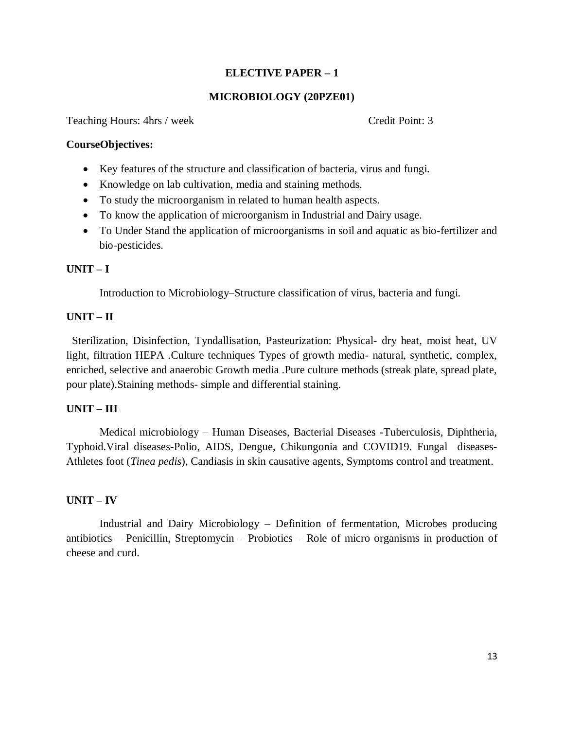### **ELECTIVE PAPER – 1**

#### **MICROBIOLOGY (20PZE01)**

Teaching Hours: 4hrs / week Credit Point: 3

#### **CourseObjectives:**

- Key features of the structure and classification of bacteria, virus and fungi.
- Knowledge on lab cultivation, media and staining methods.
- To study the microorganism in related to human health aspects.
- To know the application of microorganism in Industrial and Dairy usage.
- To Under Stand the application of microorganisms in soil and aquatic as bio-fertilizer and bio-pesticides.

#### **UNIT – I**

Introduction to Microbiology–Structure classification of virus, bacteria and fungi.

#### **UNIT – II**

 Sterilization, Disinfection, Tyndallisation, Pasteurization: Physical- dry heat, moist heat, UV light, filtration HEPA .Culture techniques Types of growth media- natural, synthetic, complex, enriched, selective and anaerobic Growth media .Pure culture methods (streak plate, spread plate, pour plate).Staining methods- simple and differential staining.

### **UNIT – III**

Medical microbiology – Human Diseases, Bacterial Diseases -Tuberculosis, Diphtheria, Typhoid.Viral diseases-Polio, AIDS, Dengue, Chikungonia and COVID19. Fungal diseases-Athletes foot (*Tinea pedis*), Candiasis in skin causative agents, Symptoms control and treatment.

#### **UNIT – IV**

Industrial and Dairy Microbiology – Definition of fermentation, Microbes producing antibiotics – Penicillin, Streptomycin – Probiotics – Role of micro organisms in production of cheese and curd.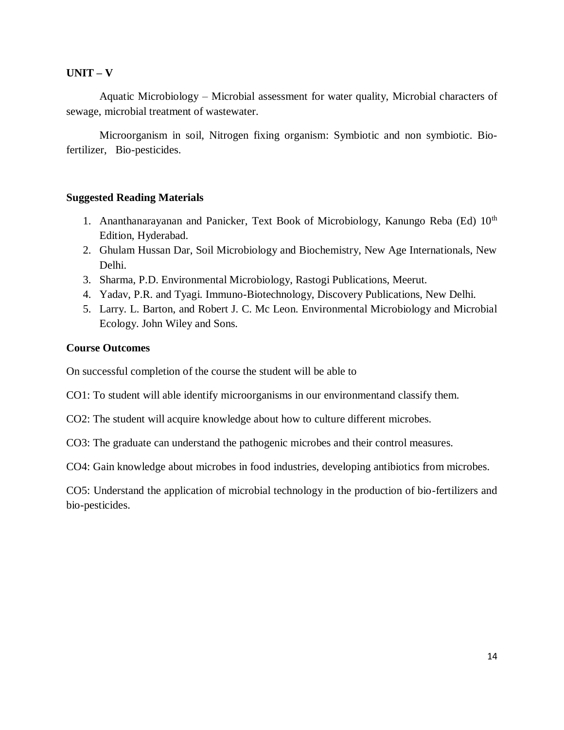### **UNIT – V**

Aquatic Microbiology – Microbial assessment for water quality, Microbial characters of sewage, microbial treatment of wastewater.

Microorganism in soil, Nitrogen fixing organism: Symbiotic and non symbiotic. Biofertilizer, Bio-pesticides.

#### **Suggested Reading Materials**

- 1. Ananthanarayanan and Panicker, Text Book of Microbiology, Kanungo Reba (Ed) 10<sup>th</sup> Edition, Hyderabad.
- 2. Ghulam Hussan Dar, Soil Microbiology and Biochemistry, New Age Internationals, New Delhi.
- 3. Sharma, P.D. Environmental Microbiology, Rastogi Publications, Meerut.
- 4. Yadav, P.R. and Tyagi. Immuno-Biotechnology, Discovery Publications, New Delhi.
- 5. Larry. L. Barton, and Robert J. C. Mc Leon. Environmental Microbiology and Microbial Ecology. John Wiley and Sons.

#### **Course Outcomes**

On successful completion of the course the student will be able to

CO1: To student will able identify microorganisms in our environmentand classify them.

CO2: The student will acquire knowledge about how to culture different microbes.

CO3: The graduate can understand the pathogenic microbes and their control measures.

CO4: Gain knowledge about microbes in food industries, developing antibiotics from microbes.

CO5: Understand the application of microbial technology in the production of bio-fertilizers and bio-pesticides.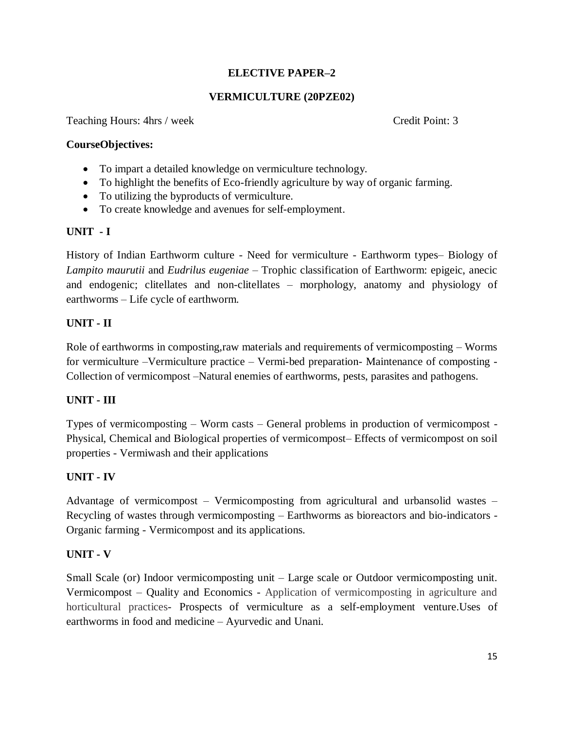### **ELECTIVE PAPER–2**

### **VERMICULTURE (20PZE02)**

Teaching Hours: 4hrs / week Credit Point: 3

#### **CourseObjectives:**

- To impart a detailed knowledge on vermiculture technology.
- To highlight the benefits of Eco-friendly agriculture by way of organic farming.
- To utilizing the byproducts of vermiculture.
- To create knowledge and avenues for self-employment.

#### **UNIT - I**

History of Indian Earthworm culture - Need for vermiculture - Earthworm types– Biology of *Lampito maurutii* and *Eudrilus eugeniae* – Trophic classification of Earthworm: epigeic, anecic and endogenic; clitellates and non-clitellates – morphology, anatomy and physiology of earthworms – Life cycle of earthworm.

#### **UNIT - II**

Role of earthworms in composting,raw materials and requirements of vermicomposting – Worms for vermiculture –Vermiculture practice – Vermi-bed preparation- Maintenance of composting - Collection of vermicompost –Natural enemies of earthworms, pests, parasites and pathogens.

#### **UNIT - III**

Types of vermicomposting – Worm casts – General problems in production of vermicompost - Physical, Chemical and Biological properties of vermicompost– Effects of vermicompost on soil properties - Vermiwash and their applications

#### **UNIT - IV**

Advantage of vermicompost – Vermicomposting from agricultural and urbansolid wastes – Recycling of wastes through vermicomposting – Earthworms as bioreactors and bio-indicators - Organic farming - Vermicompost and its applications.

#### **UNIT - V**

Small Scale (or) Indoor vermicomposting unit – Large scale or Outdoor vermicomposting unit. Vermicompost – Quality and Economics - Application of vermicomposting in agriculture and horticultural practices- Prospects of vermiculture as a self-employment venture.Uses of earthworms in food and medicine – Ayurvedic and Unani.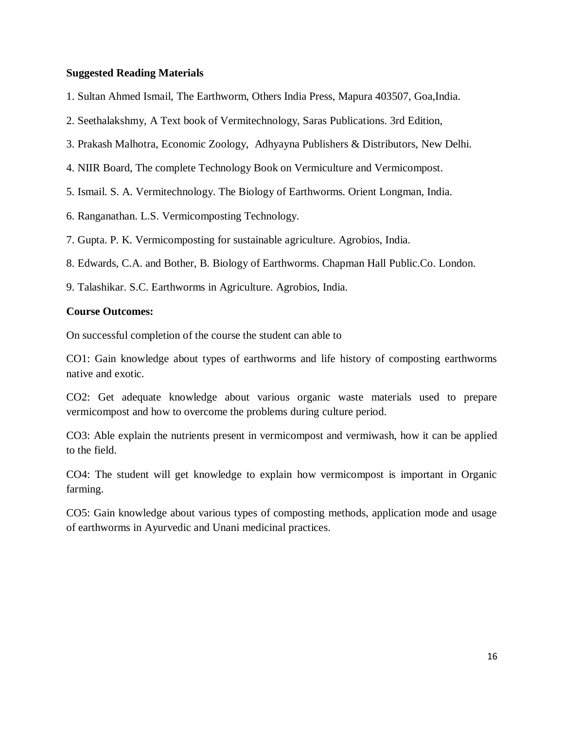#### **Suggested Reading Materials**

- 1. Sultan Ahmed Ismail, The Earthworm, Others India Press, Mapura 403507, Goa,India.
- 2. Seethalakshmy, A Text book of Vermitechnology, Saras Publications. 3rd Edition,
- 3. Prakash Malhotra, Economic Zoology, Adhyayna Publishers & Distributors, New Delhi.
- 4. NIIR Board, The complete Technology Book on Vermiculture and Vermicompost.
- 5. Ismail. S. A. Vermitechnology. The Biology of Earthworms. Orient Longman, India.
- 6. Ranganathan. L.S. Vermicomposting Technology.
- 7. Gupta. P. K. Vermicomposting for sustainable agriculture. Agrobios, India.
- 8. Edwards, C.A. and Bother, B. Biology of Earthworms. Chapman Hall Public.Co. London.
- 9. Talashikar. S.C. Earthworms in Agriculture. Agrobios, India.

#### **Course Outcomes:**

On successful completion of the course the student can able to

CO1: Gain knowledge about types of earthworms and life history of composting earthworms native and exotic.

CO2: Get adequate knowledge about various organic waste materials used to prepare vermicompost and how to overcome the problems during culture period.

CO3: Able explain the nutrients present in vermicompost and vermiwash, how it can be applied to the field.

CO4: The student will get knowledge to explain how vermicompost is important in Organic farming.

CO5: Gain knowledge about various types of composting methods, application mode and usage of earthworms in Ayurvedic and Unani medicinal practices.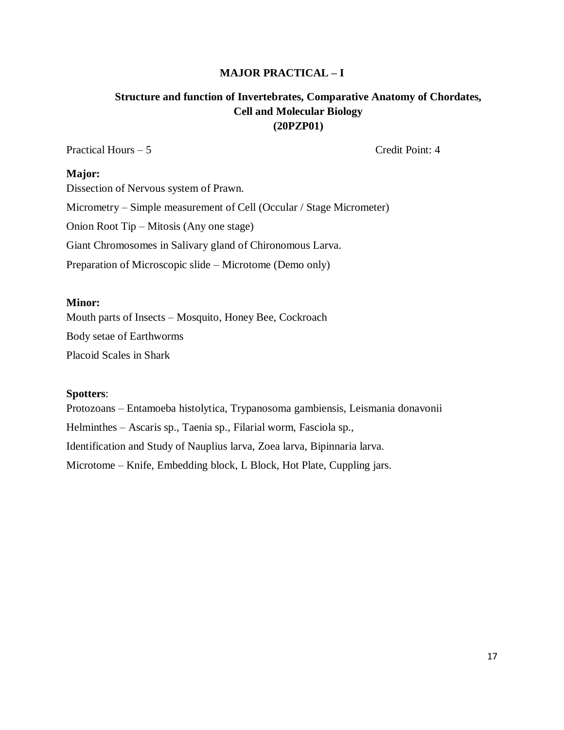#### **MAJOR PRACTICAL – I**

### **Structure and function of Invertebrates, Comparative Anatomy of Chordates, Cell and Molecular Biology (20PZP01)**

Practical Hours – 5 Credit Point: 4

#### **Major:**

Dissection of Nervous system of Prawn. Micrometry – Simple measurement of Cell (Occular / Stage Micrometer) Onion Root Tip – Mitosis (Any one stage) Giant Chromosomes in Salivary gland of Chironomous Larva. Preparation of Microscopic slide – Microtome (Demo only)

#### **Minor:**

Mouth parts of Insects – Mosquito, Honey Bee, Cockroach

Body setae of Earthworms

Placoid Scales in Shark

#### **Spotters**:

Protozoans – Entamoeba histolytica, Trypanosoma gambiensis, Leismania donavonii Helminthes – Ascaris sp., Taenia sp., Filarial worm, Fasciola sp., Identification and Study of Nauplius larva, Zoea larva, Bipinnaria larva. Microtome – Knife, Embedding block, L Block, Hot Plate, Cuppling jars.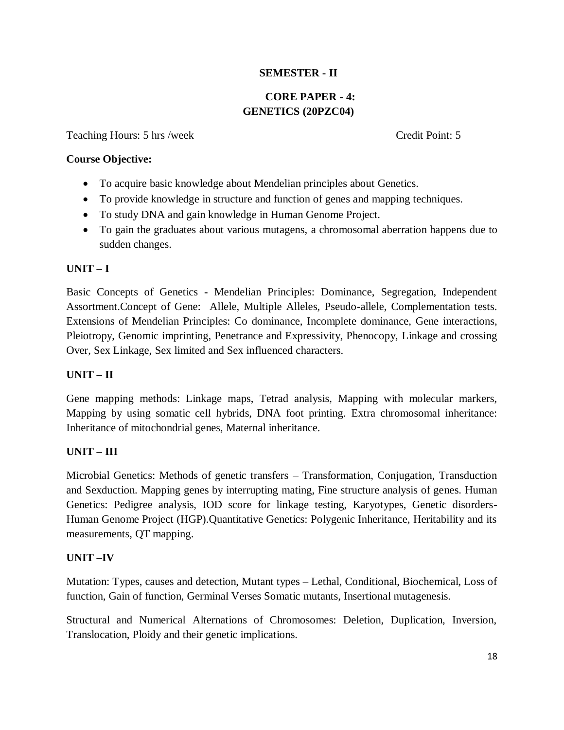### **SEMESTER - II**

### **CORE PAPER - 4: GENETICS (20PZC04)**

Teaching Hours: 5 hrs /week Credit Point: 5

#### **Course Objective:**

- To acquire basic knowledge about Mendelian principles about Genetics.
- To provide knowledge in structure and function of genes and mapping techniques.
- To study DNA and gain knowledge in Human Genome Project.
- To gain the graduates about various mutagens, a chromosomal aberration happens due to sudden changes.

#### **UNIT – I**

Basic Concepts of Genetics **-** Mendelian Principles: Dominance, Segregation, Independent Assortment.Concept of Gene: Allele, Multiple Alleles, Pseudo-allele, Complementation tests. Extensions of Mendelian Principles: Co dominance, Incomplete dominance, Gene interactions, Pleiotropy, Genomic imprinting, Penetrance and Expressivity, Phenocopy, Linkage and crossing Over, Sex Linkage, Sex limited and Sex influenced characters.

#### **UNIT – II**

Gene mapping methods: Linkage maps, Tetrad analysis, Mapping with molecular markers, Mapping by using somatic cell hybrids, DNA foot printing. Extra chromosomal inheritance: Inheritance of mitochondrial genes, Maternal inheritance.

#### **UNIT – III**

Microbial Genetics: Methods of genetic transfers – Transformation, Conjugation, Transduction and Sexduction. Mapping genes by interrupting mating, Fine structure analysis of genes. Human Genetics: Pedigree analysis, IOD score for linkage testing, Karyotypes, Genetic disorders-Human Genome Project (HGP).Quantitative Genetics: Polygenic Inheritance, Heritability and its measurements, QT mapping.

#### **UNIT –IV**

Mutation: Types, causes and detection, Mutant types – Lethal, Conditional, Biochemical, Loss of function, Gain of function, Germinal Verses Somatic mutants, Insertional mutagenesis.

Structural and Numerical Alternations of Chromosomes: Deletion, Duplication, Inversion, Translocation, Ploidy and their genetic implications.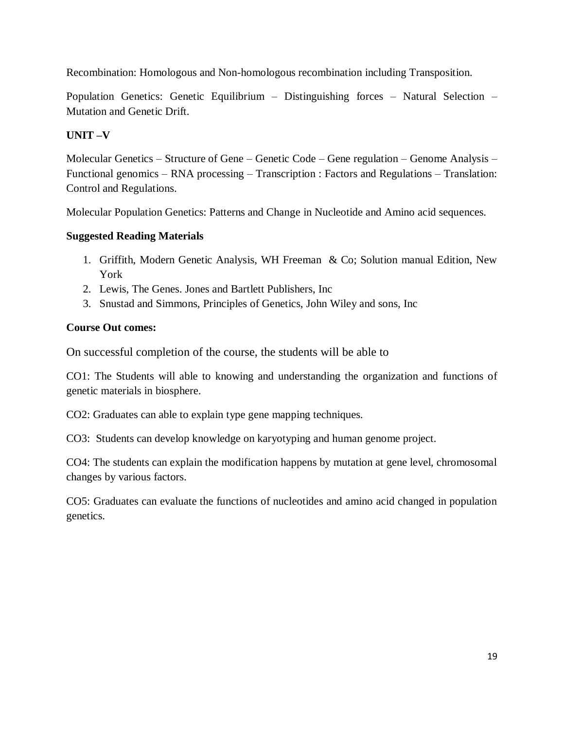Recombination: Homologous and Non-homologous recombination including Transposition.

Population Genetics: Genetic Equilibrium – Distinguishing forces – Natural Selection – Mutation and Genetic Drift.

### **UNIT –V**

Molecular Genetics – Structure of Gene – Genetic Code – Gene regulation – Genome Analysis – Functional genomics – RNA processing – Transcription : Factors and Regulations – Translation: Control and Regulations.

Molecular Population Genetics: Patterns and Change in Nucleotide and Amino acid sequences.

### **Suggested Reading Materials**

- 1. Griffith, Modern Genetic Analysis, WH Freeman & Co; Solution manual Edition, New York
- 2. Lewis, The Genes. Jones and Bartlett Publishers, Inc
- 3. Snustad and Simmons, Principles of Genetics, John Wiley and sons, Inc

### **Course Out comes:**

On successful completion of the course, the students will be able to

CO1: The Students will able to knowing and understanding the organization and functions of genetic materials in biosphere.

CO2: Graduates can able to explain type gene mapping techniques.

CO3: Students can develop knowledge on karyotyping and human genome project.

CO4: The students can explain the modification happens by mutation at gene level, chromosomal changes by various factors.

CO5: Graduates can evaluate the functions of nucleotides and amino acid changed in population genetics.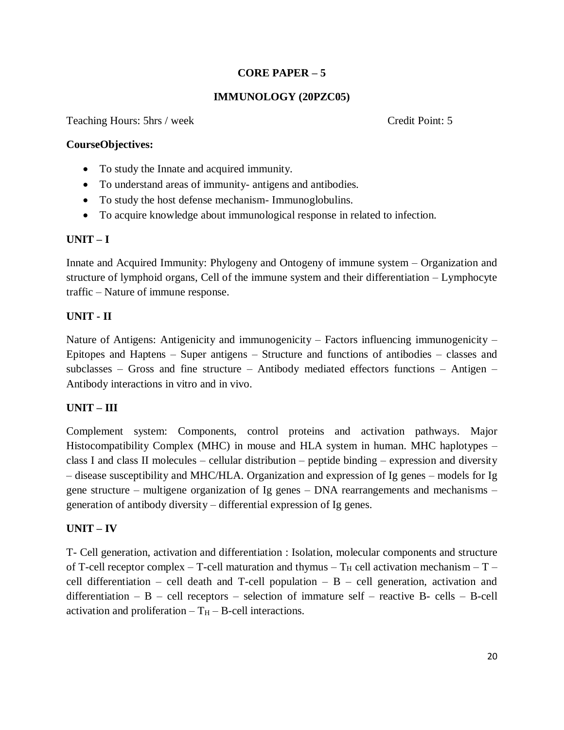### **CORE PAPER – 5**

### **IMMUNOLOGY (20PZC05)**

Teaching Hours: 5hrs / week Credit Point: 5

#### **CourseObjectives:**

- To study the Innate and acquired immunity.
- To understand areas of immunity- antigens and antibodies.
- To study the host defense mechanism- Immunoglobulins.
- To acquire knowledge about immunological response in related to infection.

#### **UNIT – I**

Innate and Acquired Immunity: Phylogeny and Ontogeny of immune system – Organization and structure of lymphoid organs, Cell of the immune system and their differentiation – Lymphocyte traffic – Nature of immune response.

#### **UNIT - II**

Nature of Antigens: Antigenicity and immunogenicity – Factors influencing immunogenicity – Epitopes and Haptens – Super antigens – Structure and functions of antibodies – classes and subclasses – Gross and fine structure – Antibody mediated effectors functions – Antigen – Antibody interactions in vitro and in vivo.

#### **UNIT – III**

Complement system: Components, control proteins and activation pathways. Major Histocompatibility Complex (MHC) in mouse and HLA system in human. MHC haplotypes – class I and class II molecules – cellular distribution – peptide binding – expression and diversity – disease susceptibility and MHC/HLA. Organization and expression of Ig genes – models for Ig gene structure – multigene organization of Ig genes – DNA rearrangements and mechanisms – generation of antibody diversity – differential expression of Ig genes.

#### **UNIT – IV**

T- Cell generation, activation and differentiation : Isolation, molecular components and structure of T-cell receptor complex – T-cell maturation and thymus –  $T_H$  cell activation mechanism – T – cell differentiation – cell death and T-cell population –  $B$  – cell generation, activation and differentiation –  $B$  – cell receptors – selection of immature self – reactive B- cells – B-cell activation and proliferation  $- T_H - B$ -cell interactions.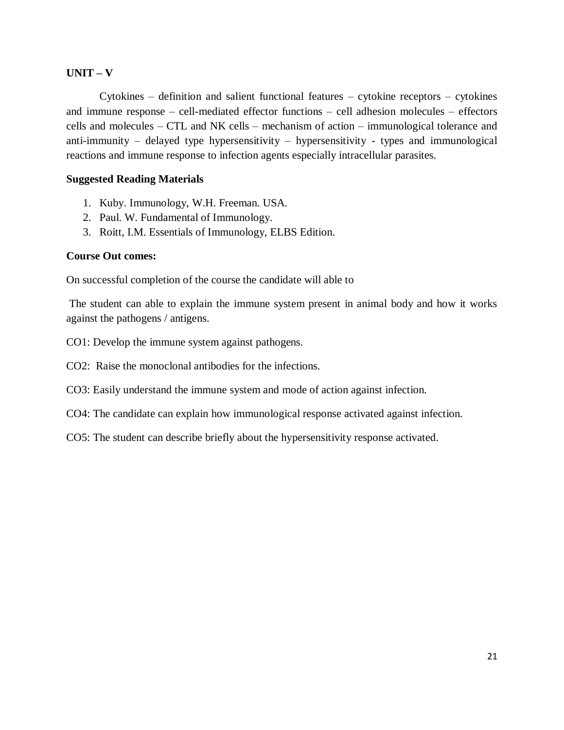#### **UNIT – V**

Cytokines – definition and salient functional features – cytokine receptors – cytokines and immune response – cell-mediated effector functions – cell adhesion molecules – effectors cells and molecules – CTL and NK cells – mechanism of action – immunological tolerance and anti-immunity – delayed type hypersensitivity – hypersensitivity - types and immunological reactions and immune response to infection agents especially intracellular parasites.

#### **Suggested Reading Materials**

- 1. Kuby. Immunology, W.H. Freeman. USA.
- 2. Paul. W. Fundamental of Immunology.
- 3. Roitt, I.M. Essentials of Immunology, ELBS Edition.

#### **Course Out comes:**

On successful completion of the course the candidate will able to

The student can able to explain the immune system present in animal body and how it works against the pathogens / antigens.

CO1: Develop the immune system against pathogens.

CO2: Raise the monoclonal antibodies for the infections.

CO3: Easily understand the immune system and mode of action against infection.

- CO4: The candidate can explain how immunological response activated against infection.
- CO5: The student can describe briefly about the hypersensitivity response activated.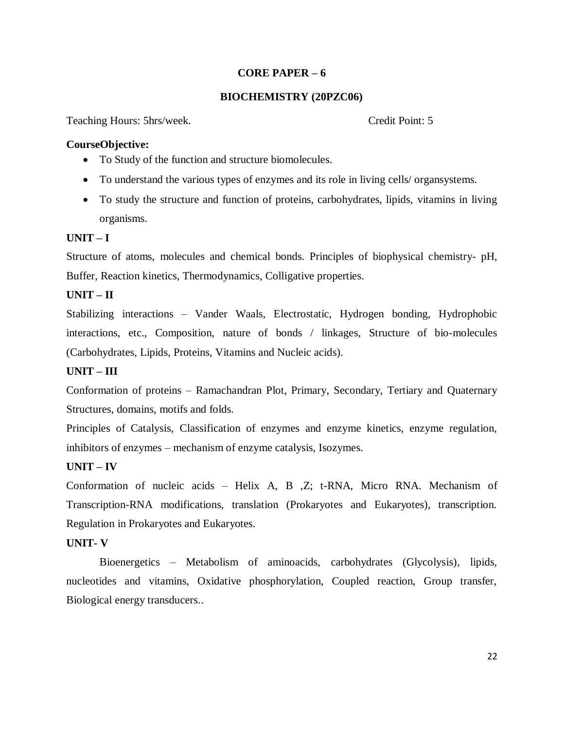#### **CORE PAPER – 6**

### **BIOCHEMISTRY (20PZC06)**

Teaching Hours: 5hrs/week. Credit Point: 5

#### **CourseObjective:**

- To Study of the function and structure biomolecules.
- To understand the various types of enzymes and its role in living cells/ organsystems.
- To study the structure and function of proteins, carbohydrates, lipids, vitamins in living organisms.

#### **UNIT – I**

Structure of atoms, molecules and chemical bonds. Principles of biophysical chemistry- pH, Buffer, Reaction kinetics, Thermodynamics, Colligative properties.

#### **UNIT – II**

Stabilizing interactions – Vander Waals, Electrostatic, Hydrogen bonding, Hydrophobic interactions, etc., Composition, nature of bonds / linkages, Structure of bio-molecules (Carbohydrates, Lipids, Proteins, Vitamins and Nucleic acids).

#### **UNIT – III**

Conformation of proteins – Ramachandran Plot, Primary, Secondary, Tertiary and Quaternary Structures, domains, motifs and folds.

Principles of Catalysis, Classification of enzymes and enzyme kinetics, enzyme regulation, inhibitors of enzymes – mechanism of enzyme catalysis, Isozymes.

#### **UNIT – IV**

Conformation of nucleic acids – Helix A, B ,Z; t-RNA, Micro RNA. Mechanism of Transcription-RNA modifications, translation (Prokaryotes and Eukaryotes), transcription. Regulation in Prokaryotes and Eukaryotes.

#### **UNIT- V**

Bioenergetics – Metabolism of aminoacids, carbohydrates (Glycolysis), lipids, nucleotides and vitamins, Oxidative phosphorylation, Coupled reaction, Group transfer, Biological energy transducers..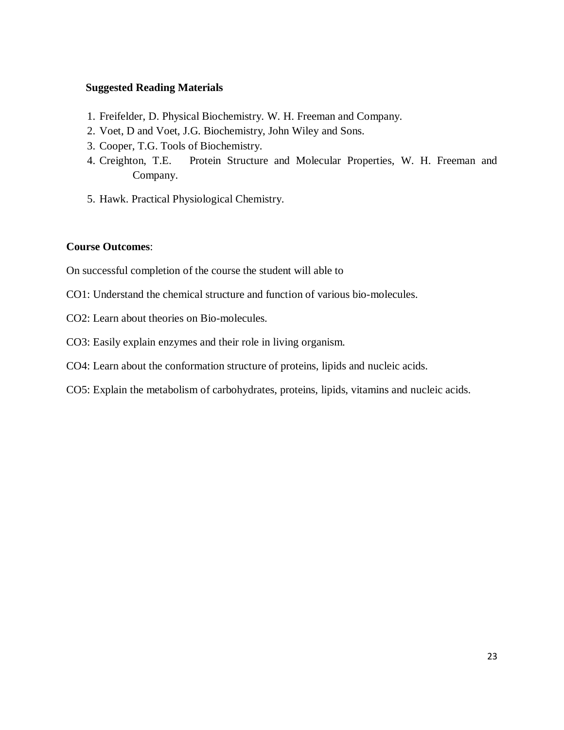#### **Suggested Reading Materials**

- 1. Freifelder, D. Physical Biochemistry. W. H. Freeman and Company.
- 2. Voet, D and Voet, J.G. Biochemistry, John Wiley and Sons.
- 3. Cooper, T.G. Tools of Biochemistry.
- 4. Creighton, T.E. Protein Structure and Molecular Properties, W. H. Freeman and Company.
- 5. Hawk. Practical Physiological Chemistry.

#### **Course Outcomes**:

On successful completion of the course the student will able to

- CO1: Understand the chemical structure and function of various bio-molecules.
- CO2: Learn about theories on Bio-molecules.
- CO3: Easily explain enzymes and their role in living organism.
- CO4: Learn about the conformation structure of proteins, lipids and nucleic acids.
- CO5: Explain the metabolism of carbohydrates, proteins, lipids, vitamins and nucleic acids.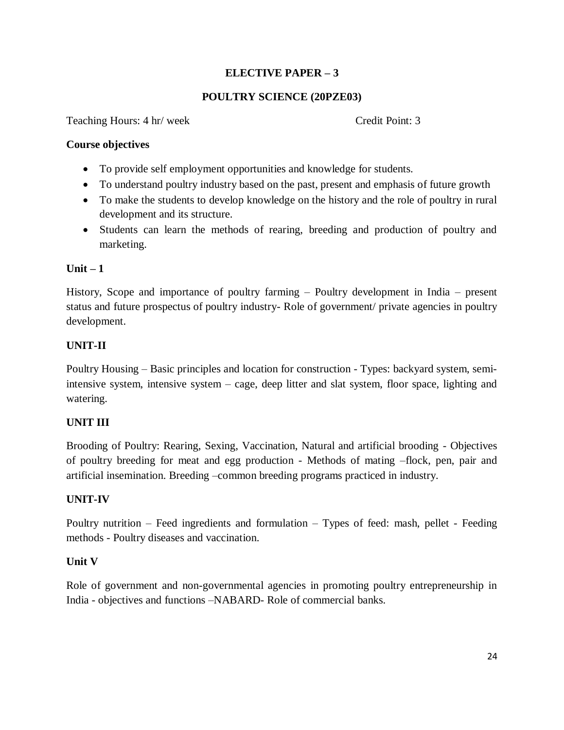### **ELECTIVE PAPER – 3**

### **POULTRY SCIENCE (20PZE03)**

Teaching Hours: 4 hr/ week Credit Point: 3

#### **Course objectives**

- To provide self employment opportunities and knowledge for students.
- To understand poultry industry based on the past, present and emphasis of future growth
- To make the students to develop knowledge on the history and the role of poultry in rural development and its structure.
- Students can learn the methods of rearing, breeding and production of poultry and marketing.

#### **Unit – 1**

History, Scope and importance of poultry farming – Poultry development in India – present status and future prospectus of poultry industry- Role of government/ private agencies in poultry development.

#### **UNIT-II**

Poultry Housing – Basic principles and location for construction - Types: backyard system, semiintensive system, intensive system – cage, deep litter and slat system, floor space, lighting and watering.

### **UNIT III**

Brooding of Poultry: Rearing, Sexing, Vaccination, Natural and artificial brooding - Objectives of poultry breeding for meat and egg production - Methods of mating –flock, pen, pair and artificial insemination. Breeding –common breeding programs practiced in industry.

#### **UNIT-IV**

Poultry nutrition – Feed ingredients and formulation – Types of feed: mash, pellet - Feeding methods - Poultry diseases and vaccination.

#### **Unit V**

Role of government and non-governmental agencies in promoting poultry entrepreneurship in India - objectives and functions –NABARD- Role of commercial banks.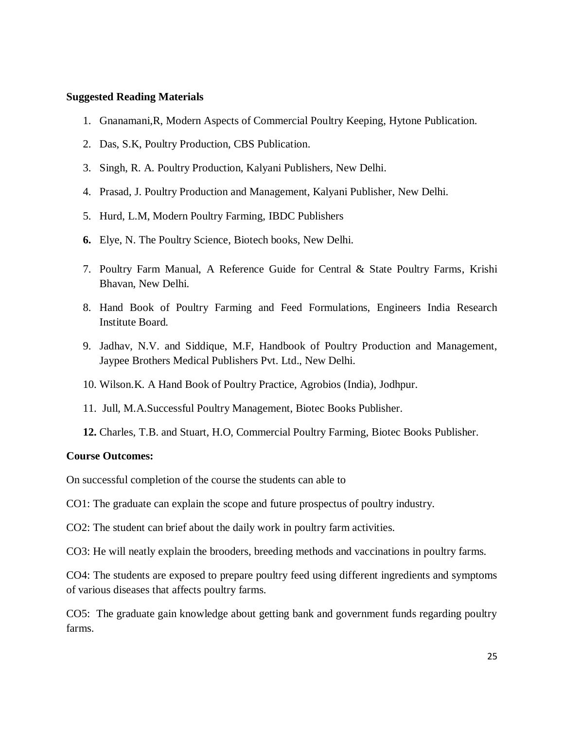#### **Suggested Reading Materials**

- 1. Gnanamani,R, Modern Aspects of Commercial Poultry Keeping, Hytone Publication.
- 2. Das, S.K, Poultry Production, CBS Publication.
- 3. Singh, R. A. Poultry Production, Kalyani Publishers, New Delhi.
- 4. Prasad, J. Poultry Production and Management, Kalyani Publisher, New Delhi.
- 5. Hurd, L.M, Modern Poultry Farming, IBDC Publishers
- **6.** Elye, N. The Poultry Science, Biotech books, New Delhi.
- 7. Poultry Farm Manual, A Reference Guide for Central & State Poultry Farms, Krishi Bhavan, New Delhi.
- 8. Hand Book of Poultry Farming and Feed Formulations, Engineers India Research Institute Board.
- 9. Jadhav, N.V. and Siddique, M.F, Handbook of Poultry Production and Management, Jaypee Brothers Medical Publishers Pvt. Ltd., New Delhi.
- 10. Wilson.K. A Hand Book of Poultry Practice, Agrobios (India), Jodhpur.
- 11. Jull, M.A.Successful Poultry Management, Biotec Books Publisher.
- **12.** Charles, T.B. and Stuart, H.O, Commercial Poultry Farming, Biotec Books Publisher.

#### **Course Outcomes:**

On successful completion of the course the students can able to

- CO1: The graduate can explain the scope and future prospectus of poultry industry.
- CO2: The student can brief about the daily work in poultry farm activities.

CO3: He will neatly explain the brooders, breeding methods and vaccinations in poultry farms.

CO4: The students are exposed to prepare poultry feed using different ingredients and symptoms of various diseases that affects poultry farms.

CO5: The graduate gain knowledge about getting bank and government funds regarding poultry farms.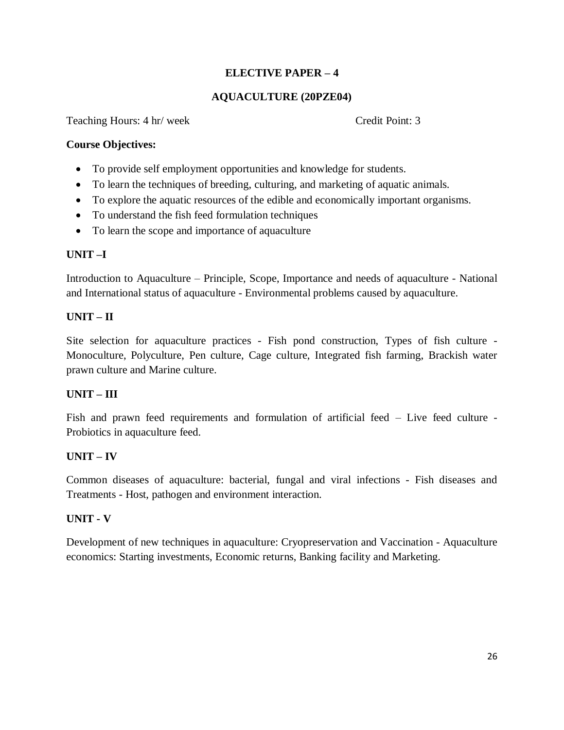### **ELECTIVE PAPER – 4**

### **AQUACULTURE (20PZE04)**

Teaching Hours: 4 hr/ week Credit Point: 3

#### **Course Objectives:**

- To provide self employment opportunities and knowledge for students.
- To learn the techniques of breeding, culturing, and marketing of aquatic animals.
- To explore the aquatic resources of the edible and economically important organisms.
- To understand the fish feed formulation techniques
- To learn the scope and importance of aquaculture

### **UNIT –I**

Introduction to Aquaculture – Principle, Scope, Importance and needs of aquaculture - National and International status of aquaculture - Environmental problems caused by aquaculture.

### **UNIT – II**

Site selection for aquaculture practices - Fish pond construction, Types of fish culture - Monoculture, Polyculture, Pen culture, Cage culture, Integrated fish farming, Brackish water prawn culture and Marine culture.

### **UNIT – III**

Fish and prawn feed requirements and formulation of artificial feed – Live feed culture - Probiotics in aquaculture feed.

### **UNIT – IV**

Common diseases of aquaculture: bacterial, fungal and viral infections - Fish diseases and Treatments - Host, pathogen and environment interaction.

### **UNIT - V**

Development of new techniques in aquaculture: Cryopreservation and Vaccination - Aquaculture economics: Starting investments, Economic returns, Banking facility and Marketing.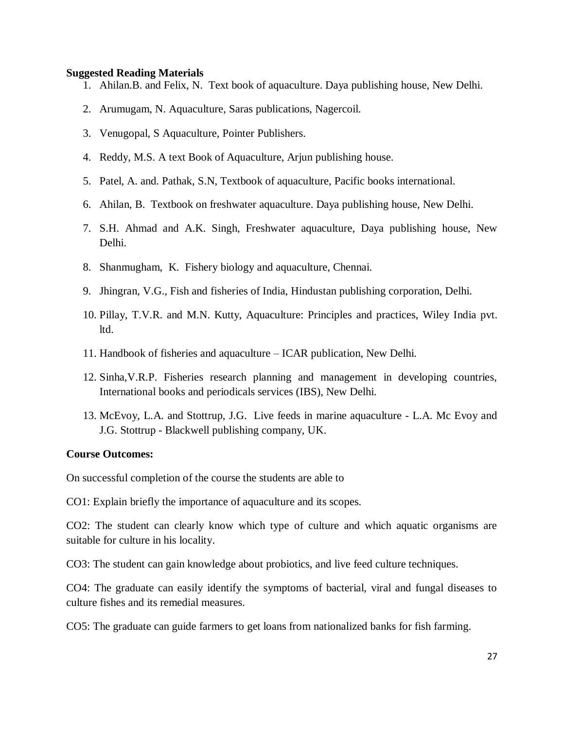#### **Suggested Reading Materials**

- 1. Ahilan.B. and Felix, N. Text book of aquaculture. Daya publishing house, New Delhi.
- 2. Arumugam, N. Aquaculture, Saras publications, Nagercoil.
- 3. Venugopal, S Aquaculture, Pointer Publishers.
- 4. Reddy, M.S. A text Book of Aquaculture, Arjun publishing house.
- 5. Patel, A. and. Pathak, S.N, Textbook of aquaculture, Pacific books international.
- 6. Ahilan, B. Textbook on freshwater aquaculture. Daya publishing house, New Delhi.
- 7. S.H. Ahmad and A.K. Singh, Freshwater aquaculture, Daya publishing house, New Delhi.
- 8. Shanmugham, K. Fishery biology and aquaculture, Chennai.
- 9. Jhingran, V.G., Fish and fisheries of India, Hindustan publishing corporation, Delhi.
- 10. Pillay, T.V.R. and M.N. Kutty, Aquaculture: Principles and practices, Wiley India pvt. ltd.
- 11. Handbook of fisheries and aquaculture ICAR publication, New Delhi.
- 12. Sinha,V.R.P. Fisheries research planning and management in developing countries, International books and periodicals services (IBS), New Delhi.
- 13. McEvoy, L.A. and Stottrup, J.G. Live feeds in marine aquaculture L.A. Mc Evoy and J.G. Stottrup - Blackwell publishing company, UK.

#### **Course Outcomes:**

On successful completion of the course the students are able to

CO1: Explain briefly the importance of aquaculture and its scopes.

CO2: The student can clearly know which type of culture and which aquatic organisms are suitable for culture in his locality.

CO3: The student can gain knowledge about probiotics, and live feed culture techniques.

CO4: The graduate can easily identify the symptoms of bacterial, viral and fungal diseases to culture fishes and its remedial measures.

CO5: The graduate can guide farmers to get loans from nationalized banks for fish farming.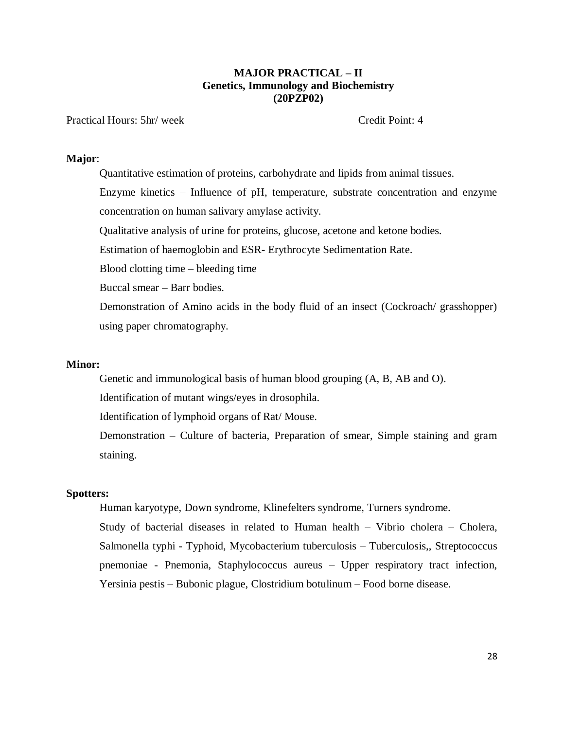#### **MAJOR PRACTICAL – II Genetics, Immunology and Biochemistry (20PZP02)**

#### Practical Hours: 5hr/ week Credit Point: 4

#### **Major**:

Quantitative estimation of proteins, carbohydrate and lipids from animal tissues. Enzyme kinetics – Influence of pH, temperature, substrate concentration and enzyme concentration on human salivary amylase activity. Qualitative analysis of urine for proteins, glucose, acetone and ketone bodies.

Estimation of haemoglobin and ESR- Erythrocyte Sedimentation Rate.

Blood clotting time – bleeding time

Buccal smear – Barr bodies.

Demonstration of Amino acids in the body fluid of an insect (Cockroach/ grasshopper) using paper chromatography.

#### **Minor:**

Genetic and immunological basis of human blood grouping (A, B, AB and O).

Identification of mutant wings/eyes in drosophila.

Identification of lymphoid organs of Rat/ Mouse.

Demonstration – Culture of bacteria, Preparation of smear, Simple staining and gram staining.

#### **Spotters:**

Human karyotype, Down syndrome, Klinefelters syndrome, Turners syndrome.

Study of bacterial diseases in related to Human health – Vibrio cholera – Cholera, Salmonella typhi - Typhoid, Mycobacterium tuberculosis – Tuberculosis,, Streptococcus pnemoniae - Pnemonia, Staphylococcus aureus – Upper respiratory tract infection, Yersinia pestis – Bubonic plague, Clostridium botulinum – Food borne disease.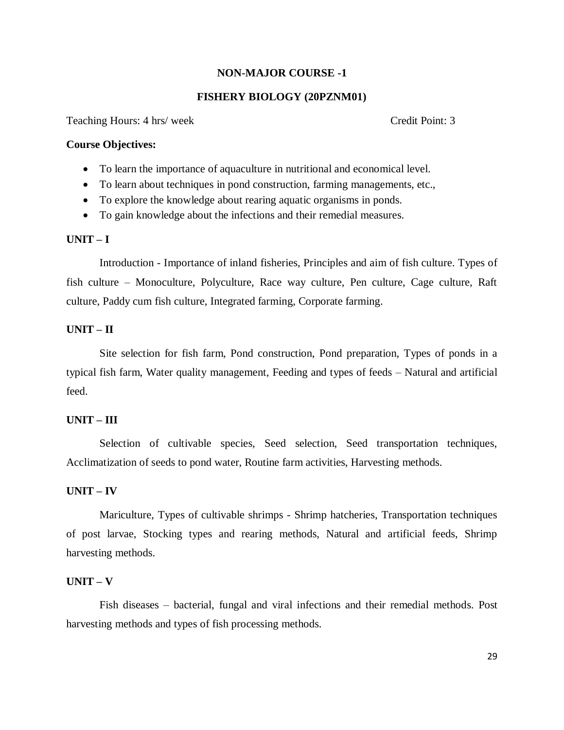#### **NON-MAJOR COURSE -1**

#### **FISHERY BIOLOGY (20PZNM01)**

Teaching Hours: 4 hrs/ week Credit Point: 3

#### **Course Objectives:**

- To learn the importance of aquaculture in nutritional and economical level.
- To learn about techniques in pond construction, farming managements, etc.,
- To explore the knowledge about rearing aquatic organisms in ponds.
- To gain knowledge about the infections and their remedial measures.

#### **UNIT – I**

Introduction - Importance of inland fisheries, Principles and aim of fish culture. Types of fish culture – Monoculture, Polyculture, Race way culture, Pen culture, Cage culture, Raft culture, Paddy cum fish culture, Integrated farming, Corporate farming.

#### **UNIT – II**

Site selection for fish farm, Pond construction, Pond preparation, Types of ponds in a typical fish farm, Water quality management, Feeding and types of feeds – Natural and artificial feed.

#### **UNIT – III**

Selection of cultivable species, Seed selection, Seed transportation techniques, Acclimatization of seeds to pond water, Routine farm activities, Harvesting methods.

#### **UNIT – IV**

Mariculture, Types of cultivable shrimps - Shrimp hatcheries, Transportation techniques of post larvae, Stocking types and rearing methods, Natural and artificial feeds, Shrimp harvesting methods.

#### **UNIT – V**

Fish diseases – bacterial, fungal and viral infections and their remedial methods. Post harvesting methods and types of fish processing methods.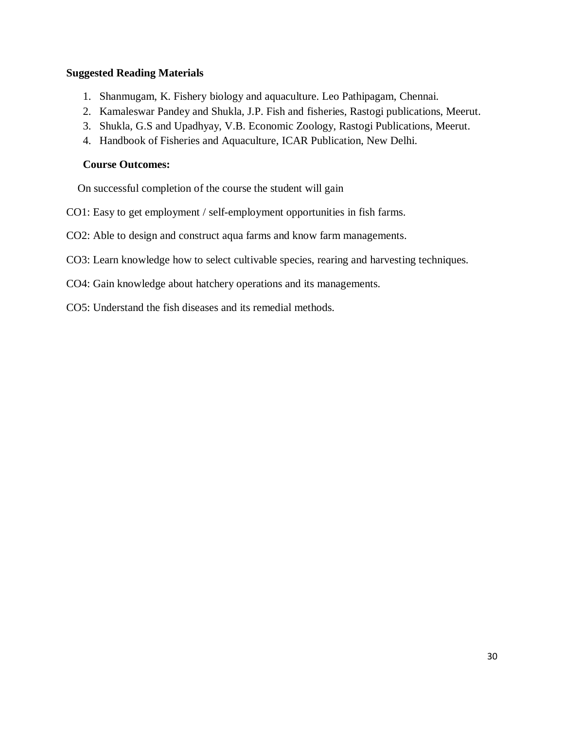#### **Suggested Reading Materials**

- 1. Shanmugam, K. Fishery biology and aquaculture. Leo Pathipagam, Chennai.
- 2. Kamaleswar Pandey and Shukla, J.P. Fish and fisheries, Rastogi publications, Meerut.
- 3. Shukla, G.S and Upadhyay, V.B. Economic Zoology, Rastogi Publications, Meerut.
- 4. Handbook of Fisheries and Aquaculture, ICAR Publication, New Delhi.

#### **Course Outcomes:**

On successful completion of the course the student will gain

- CO1: Easy to get employment / self-employment opportunities in fish farms.
- CO2: Able to design and construct aqua farms and know farm managements.
- CO3: Learn knowledge how to select cultivable species, rearing and harvesting techniques.
- CO4: Gain knowledge about hatchery operations and its managements.
- CO5: Understand the fish diseases and its remedial methods.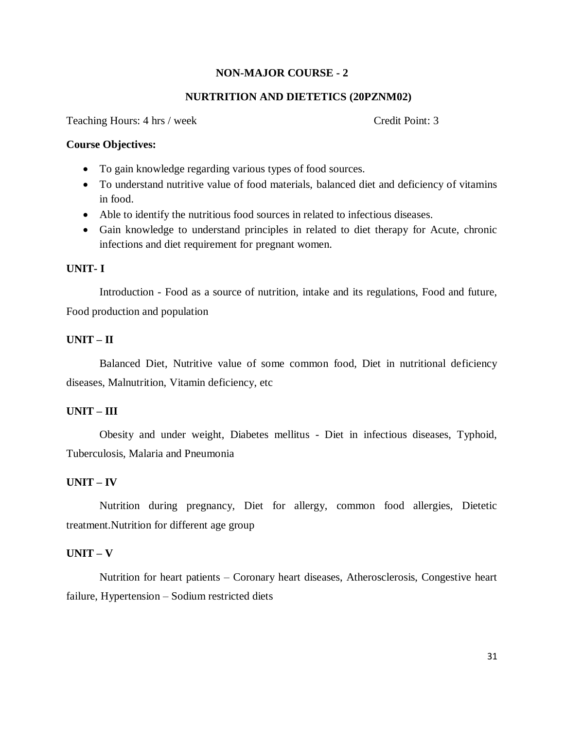#### **NON-MAJOR COURSE - 2**

#### **NURTRITION AND DIETETICS (20PZNM02)**

Teaching Hours: 4 hrs / week Credit Point: 3

#### **Course Objectives:**

- To gain knowledge regarding various types of food sources.
- To understand nutritive value of food materials, balanced diet and deficiency of vitamins in food.
- Able to identify the nutritious food sources in related to infectious diseases.
- Gain knowledge to understand principles in related to diet therapy for Acute, chronic infections and diet requirement for pregnant women.

#### **UNIT- I**

Introduction - Food as a source of nutrition, intake and its regulations, Food and future, Food production and population

#### **UNIT – II**

Balanced Diet, Nutritive value of some common food, Diet in nutritional deficiency diseases, Malnutrition, Vitamin deficiency, etc

#### **UNIT – III**

Obesity and under weight, Diabetes mellitus - Diet in infectious diseases, Typhoid, Tuberculosis, Malaria and Pneumonia

#### **UNIT – IV**

Nutrition during pregnancy, Diet for allergy, common food allergies, Dietetic treatment.Nutrition for different age group

#### **UNIT – V**

Nutrition for heart patients – Coronary heart diseases, Atherosclerosis, Congestive heart failure, Hypertension – Sodium restricted diets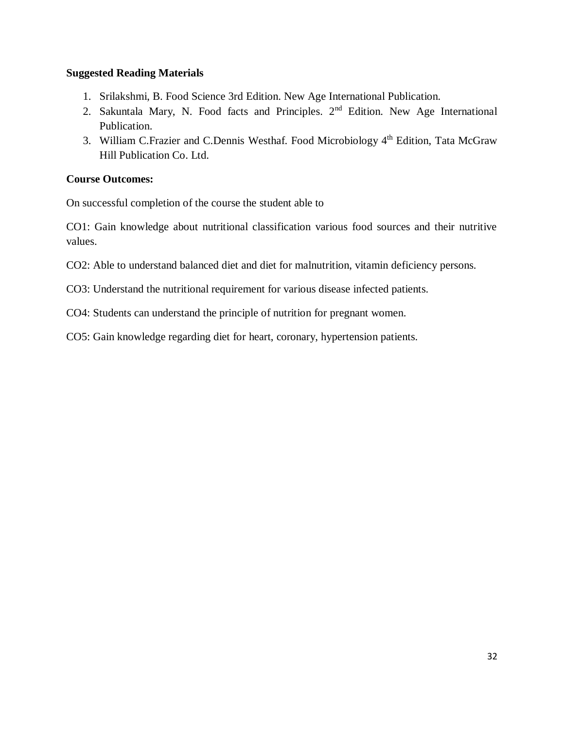### **Suggested Reading Materials**

- 1. Srilakshmi, B. Food Science 3rd Edition. New Age International Publication.
- 2. Sakuntala Mary, N. Food facts and Principles. 2nd Edition. New Age International Publication.
- 3. William C.Frazier and C.Dennis Westhaf. Food Microbiology  $4<sup>th</sup>$  Edition, Tata McGraw Hill Publication Co. Ltd.

#### **Course Outcomes:**

On successful completion of the course the student able to

CO1: Gain knowledge about nutritional classification various food sources and their nutritive values.

- CO2: Able to understand balanced diet and diet for malnutrition, vitamin deficiency persons.
- CO3: Understand the nutritional requirement for various disease infected patients.
- CO4: Students can understand the principle of nutrition for pregnant women.

CO5: Gain knowledge regarding diet for heart, coronary, hypertension patients.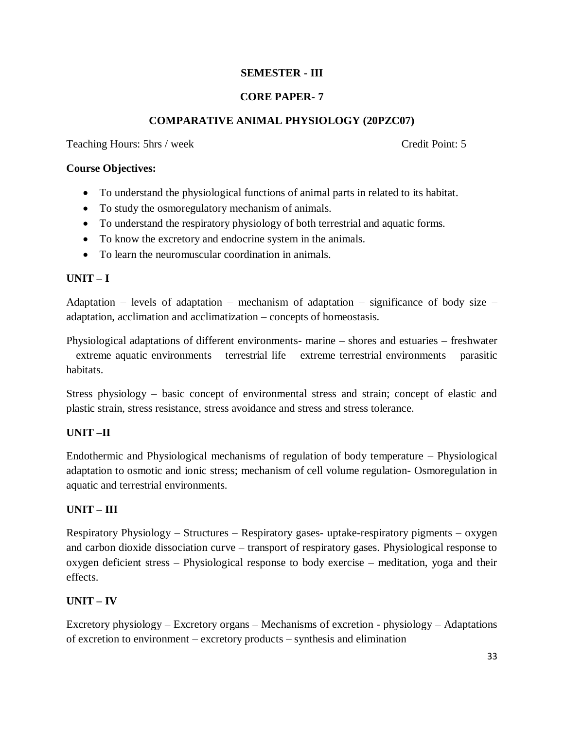### **SEMESTER - III**

### **CORE PAPER- 7**

### **COMPARATIVE ANIMAL PHYSIOLOGY (20PZC07)**

Teaching Hours: 5hrs / week Credit Point: 5

#### **Course Objectives:**

- To understand the physiological functions of animal parts in related to its habitat.
- To study the osmoregulatory mechanism of animals.
- To understand the respiratory physiology of both terrestrial and aquatic forms.
- To know the excretory and endocrine system in the animals.
- To learn the neuromuscular coordination in animals.

### **UNIT – I**

Adaptation – levels of adaptation – mechanism of adaptation – significance of body size – adaptation, acclimation and acclimatization – concepts of homeostasis.

Physiological adaptations of different environments- marine – shores and estuaries – freshwater – extreme aquatic environments – terrestrial life – extreme terrestrial environments – parasitic habitats.

Stress physiology – basic concept of environmental stress and strain; concept of elastic and plastic strain, stress resistance, stress avoidance and stress and stress tolerance.

### **UNIT –II**

Endothermic and Physiological mechanisms of regulation of body temperature – Physiological adaptation to osmotic and ionic stress; mechanism of cell volume regulation- Osmoregulation in aquatic and terrestrial environments.

### **UNIT – III**

Respiratory Physiology – Structures – Respiratory gases- uptake-respiratory pigments – oxygen and carbon dioxide dissociation curve – transport of respiratory gases. Physiological response to oxygen deficient stress – Physiological response to body exercise – meditation, yoga and their effects.

### **UNIT – IV**

Excretory physiology – Excretory organs – Mechanisms of excretion - physiology – Adaptations of excretion to environment – excretory products – synthesis and elimination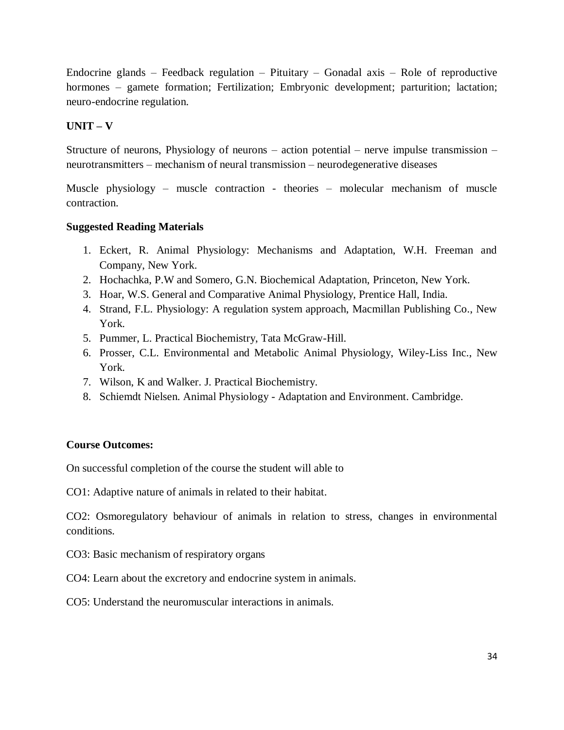Endocrine glands – Feedback regulation – Pituitary – Gonadal axis – Role of reproductive hormones – gamete formation; Fertilization; Embryonic development; parturition; lactation; neuro-endocrine regulation.

### **UNIT – V**

Structure of neurons, Physiology of neurons – action potential – nerve impulse transmission – neurotransmitters – mechanism of neural transmission – neurodegenerative diseases

Muscle physiology – muscle contraction - theories – molecular mechanism of muscle contraction.

### **Suggested Reading Materials**

- 1. Eckert, R. Animal Physiology: Mechanisms and Adaptation, W.H. Freeman and Company, New York.
- 2. Hochachka, P.W and Somero, G.N. Biochemical Adaptation, Princeton, New York.
- 3. Hoar, W.S. General and Comparative Animal Physiology, Prentice Hall, India.
- 4. Strand, F.L. Physiology: A regulation system approach, Macmillan Publishing Co., New York.
- 5. Pummer, L. Practical Biochemistry, Tata McGraw-Hill.
- 6. Prosser, C.L. Environmental and Metabolic Animal Physiology, Wiley-Liss Inc., New York.
- 7. Wilson, K and Walker. J. Practical Biochemistry.
- 8. Schiemdt Nielsen. Animal Physiology Adaptation and Environment. Cambridge.

### **Course Outcomes:**

On successful completion of the course the student will able to

CO1: Adaptive nature of animals in related to their habitat.

CO2: Osmoregulatory behaviour of animals in relation to stress, changes in environmental conditions.

CO3: Basic mechanism of respiratory organs

- CO4: Learn about the excretory and endocrine system in animals.
- CO5: Understand the neuromuscular interactions in animals.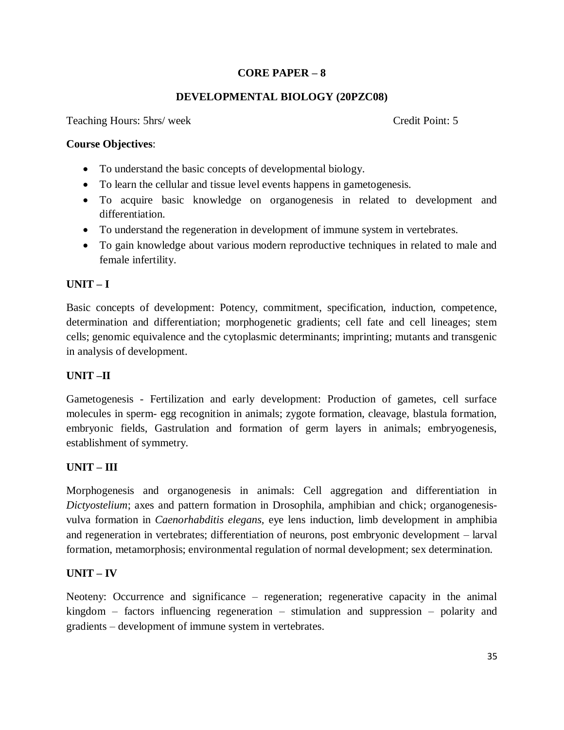### **CORE PAPER – 8**

### **DEVELOPMENTAL BIOLOGY (20PZC08)**

Teaching Hours: 5hrs/ week Credit Point: 5

#### **Course Objectives**:

- To understand the basic concepts of developmental biology.
- To learn the cellular and tissue level events happens in gametogenesis.
- To acquire basic knowledge on organogenesis in related to development and differentiation.
- To understand the regeneration in development of immune system in vertebrates.
- To gain knowledge about various modern reproductive techniques in related to male and female infertility.

### **UNIT – I**

Basic concepts of development: Potency, commitment, specification, induction, competence, determination and differentiation; morphogenetic gradients; cell fate and cell lineages; stem cells; genomic equivalence and the cytoplasmic determinants; imprinting; mutants and transgenic in analysis of development.

### **UNIT –II**

Gametogenesis - Fertilization and early development: Production of gametes, cell surface molecules in sperm- egg recognition in animals; zygote formation, cleavage, blastula formation, embryonic fields, Gastrulation and formation of germ layers in animals; embryogenesis, establishment of symmetry.

### **UNIT – III**

Morphogenesis and organogenesis in animals: Cell aggregation and differentiation in *Dictyostelium*; axes and pattern formation in Drosophila, amphibian and chick; organogenesisvulva formation in *Caenorhabditis elegans,* eye lens induction, limb development in amphibia and regeneration in vertebrates; differentiation of neurons, post embryonic development – larval formation, metamorphosis; environmental regulation of normal development; sex determination.

### **UNIT – IV**

Neoteny: Occurrence and significance – regeneration; regenerative capacity in the animal kingdom – factors influencing regeneration – stimulation and suppression – polarity and gradients – development of immune system in vertebrates.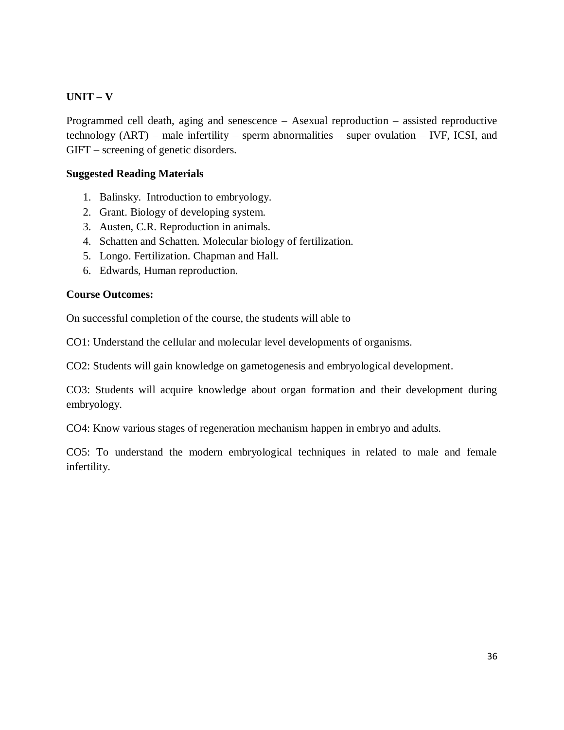### **UNIT – V**

Programmed cell death, aging and senescence – Asexual reproduction – assisted reproductive technology (ART) – male infertility – sperm abnormalities – super ovulation – IVF, ICSI, and GIFT – screening of genetic disorders.

#### **Suggested Reading Materials**

- 1. Balinsky. Introduction to embryology.
- 2. Grant. Biology of developing system.
- 3. Austen, C.R. Reproduction in animals.
- 4. Schatten and Schatten. Molecular biology of fertilization.
- 5. Longo. Fertilization. Chapman and Hall.
- 6. Edwards, Human reproduction.

#### **Course Outcomes:**

On successful completion of the course, the students will able to

CO1: Understand the cellular and molecular level developments of organisms.

CO2: Students will gain knowledge on gametogenesis and embryological development.

CO3: Students will acquire knowledge about organ formation and their development during embryology.

CO4: Know various stages of regeneration mechanism happen in embryo and adults.

CO5: To understand the modern embryological techniques in related to male and female infertility.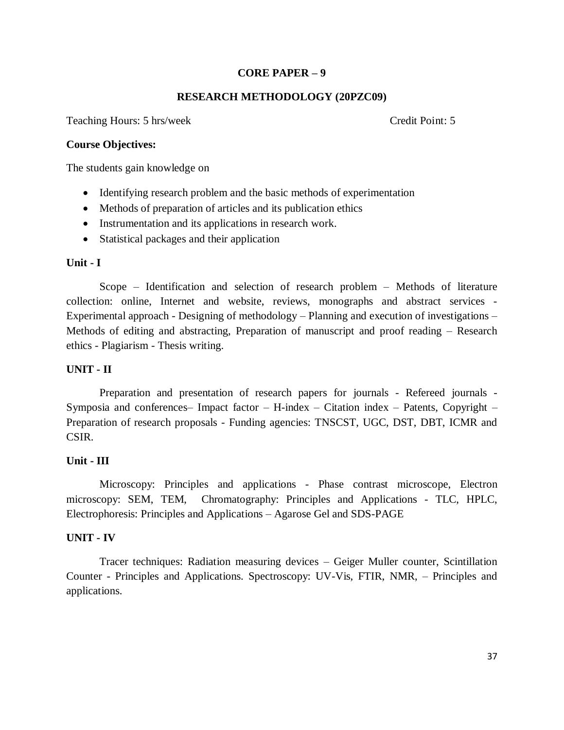### **CORE PAPER – 9**

#### **RESEARCH METHODOLOGY (20PZC09)**

Teaching Hours: 5 hrs/week Credit Point: 5

#### **Course Objectives:**

The students gain knowledge on

- Identifying research problem and the basic methods of experimentation
- Methods of preparation of articles and its publication ethics
- Instrumentation and its applications in research work.
- Statistical packages and their application

#### **Unit - I**

Scope – Identification and selection of research problem – Methods of literature collection: online, Internet and website, reviews, monographs and abstract services - Experimental approach - Designing of methodology – Planning and execution of investigations – Methods of editing and abstracting, Preparation of manuscript and proof reading – Research ethics - Plagiarism - Thesis writing.

#### **UNIT - II**

Preparation and presentation of research papers for journals - Refereed journals - Symposia and conferences– Impact factor – H-index – Citation index – Patents, Copyright – Preparation of research proposals - Funding agencies: TNSCST, UGC, DST, DBT, ICMR and CSIR.

#### **Unit - III**

Microscopy: Principles and applications - Phase contrast microscope, Electron microscopy: SEM, TEM, Chromatography: Principles and Applications - TLC, HPLC, Electrophoresis: Principles and Applications – Agarose Gel and SDS-PAGE

#### **UNIT - IV**

Tracer techniques: Radiation measuring devices – Geiger Muller counter, Scintillation Counter - Principles and Applications. Spectroscopy: UV-Vis, FTIR, NMR, – Principles and applications.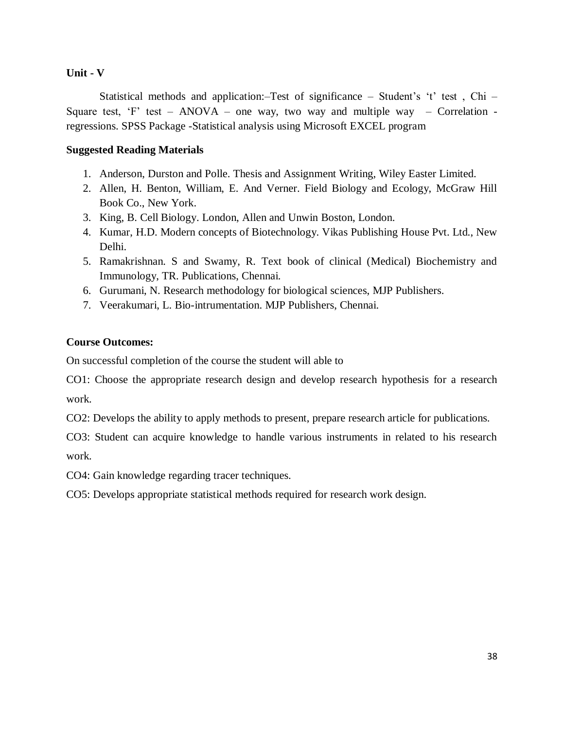#### **Unit - V**

Statistical methods and application:–Test of significance – Student's 't' test , Chi – Square test, 'F' test – ANOVA – one way, two way and multiple way – Correlation regressions. SPSS Package -Statistical analysis using Microsoft EXCEL program

### **Suggested Reading Materials**

- 1. Anderson, Durston and Polle. Thesis and Assignment Writing, Wiley Easter Limited.
- 2. Allen, H. Benton, William, E. And Verner. Field Biology and Ecology, McGraw Hill Book Co., New York.
- 3. King, B. Cell Biology. London, Allen and Unwin Boston, London.
- 4. Kumar, H.D. Modern concepts of Biotechnology. Vikas Publishing House Pvt. Ltd., New Delhi.
- 5. Ramakrishnan. S and Swamy, R. Text book of clinical (Medical) Biochemistry and Immunology, TR. Publications, Chennai.
- 6. Gurumani, N. Research methodology for biological sciences, MJP Publishers.
- 7. Veerakumari, L. Bio-intrumentation. MJP Publishers, Chennai.

### **Course Outcomes:**

On successful completion of the course the student will able to

CO1: Choose the appropriate research design and develop research hypothesis for a research work.

CO2: Develops the ability to apply methods to present, prepare research article for publications.

CO3: Student can acquire knowledge to handle various instruments in related to his research work.

CO4: Gain knowledge regarding tracer techniques.

CO5: Develops appropriate statistical methods required for research work design.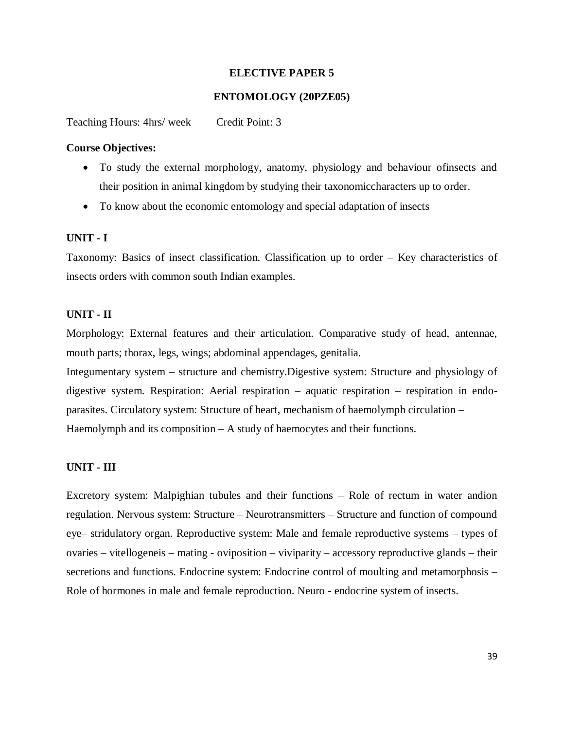#### **ELECTIVE PAPER 5**

#### **ENTOMOLOGY (20PZE05)**

Teaching Hours: 4hrs/ week Credit Point: 3

#### **Course Objectives:**

- To study the external morphology, anatomy, physiology and behaviour ofinsects and their position in animal kingdom by studying their taxonomiccharacters up to order.
- To know about the economic entomology and special adaptation of insects

#### **UNIT - I**

Taxonomy: Basics of insect classification. Classification up to order – Key characteristics of insects orders with common south Indian examples.

#### **UNIT - II**

Morphology: External features and their articulation. Comparative study of head, antennae, mouth parts; thorax, legs, wings; abdominal appendages, genitalia.

Integumentary system – structure and chemistry.Digestive system: Structure and physiology of digestive system. Respiration: Aerial respiration – aquatic respiration – respiration in endoparasites. Circulatory system: Structure of heart, mechanism of haemolymph circulation – Haemolymph and its composition – A study of haemocytes and their functions.

#### **UNIT - III**

Excretory system: Malpighian tubules and their functions – Role of rectum in water andion regulation. Nervous system: Structure – Neurotransmitters – Structure and function of compound eye– stridulatory organ. Reproductive system: Male and female reproductive systems – types of ovaries – vitellogeneis – mating - oviposition – viviparity – accessory reproductive glands – their secretions and functions. Endocrine system: Endocrine control of moulting and metamorphosis – Role of hormones in male and female reproduction. Neuro - endocrine system of insects.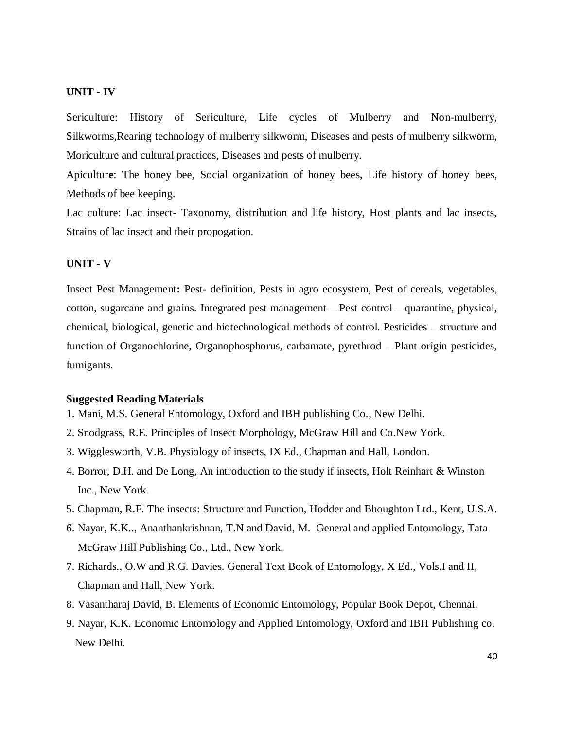#### **UNIT - IV**

Sericulture: History of Sericulture, Life cycles of Mulberry and Non-mulberry, Silkworms,Rearing technology of mulberry silkworm, Diseases and pests of mulberry silkworm, Moriculture and cultural practices, Diseases and pests of mulberry.

Apicultur**e**: The honey bee, Social organization of honey bees, Life history of honey bees, Methods of bee keeping.

Lac culture: Lac insect- Taxonomy, distribution and life history, Host plants and lac insects, Strains of lac insect and their propogation.

#### **UNIT - V**

Insect Pest Management**:** Pest- definition, Pests in agro ecosystem, Pest of cereals, vegetables, cotton, sugarcane and grains. Integrated pest management – Pest control – quarantine, physical, chemical, biological, genetic and biotechnological methods of control. Pesticides – structure and function of Organochlorine, Organophosphorus, carbamate, pyrethrod – Plant origin pesticides, fumigants.

#### **Suggested Reading Materials**

- 1. Mani, M.S. General Entomology, Oxford and IBH publishing Co., New Delhi.
- 2. Snodgrass, R.E. Principles of Insect Morphology, McGraw Hill and Co.New York.
- 3. Wigglesworth, V.B. Physiology of insects, IX Ed., Chapman and Hall, London.
- 4. Borror, D.H. and De Long, An introduction to the study if insects, Holt Reinhart & Winston Inc., New York.
- 5. Chapman, R.F. The insects: Structure and Function, Hodder and Bhoughton Ltd., Kent, U.S.A.
- 6. Nayar, K.K.., Ananthankrishnan, T.N and David, M. General and applied Entomology, Tata McGraw Hill Publishing Co., Ltd., New York.
- 7. Richards., O.W and R.G. Davies. General Text Book of Entomology, X Ed., Vols.I and II, Chapman and Hall, New York.
- 8. Vasantharaj David, B. Elements of Economic Entomology, Popular Book Depot, Chennai.
- 9. Nayar, K.K. Economic Entomology and Applied Entomology, Oxford and IBH Publishing co. New Delhi.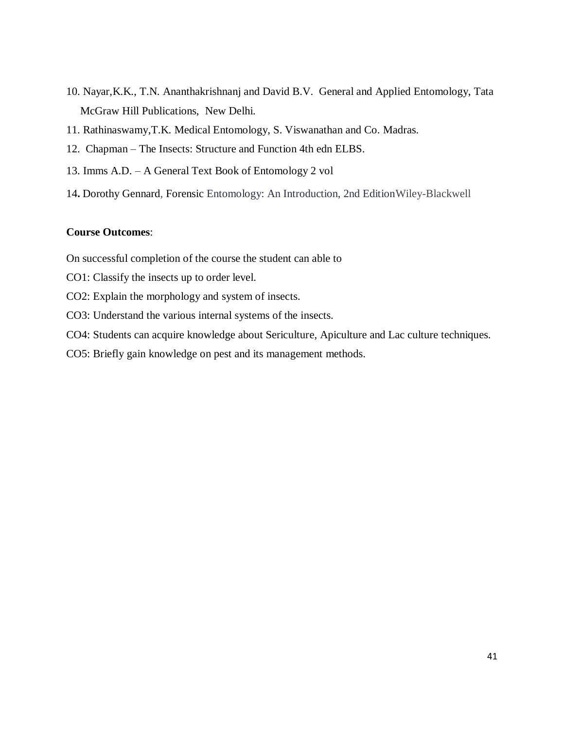- 10. Nayar,K.K., T.N. Ananthakrishnanj and David B.V. General and Applied Entomology, Tata McGraw Hill Publications, New Delhi.
- 11. Rathinaswamy,T.K. Medical Entomology, S. Viswanathan and Co. Madras.
- 12. Chapman The Insects: Structure and Function 4th edn ELBS.
- 13. Imms A.D. A General Text Book of Entomology 2 vol
- 14**.** [Dorothy Gennard,](https://www.wiley.com/en-us/search?pq=%7Crelevance%7Cauthor%3ADorothy+Gennard) Forensic Entomology: An Introduction, 2nd EditionWiley-Blackwell

#### **Course Outcomes**:

On successful completion of the course the student can able to

- CO1: Classify the insects up to order level.
- CO2: Explain the morphology and system of insects.
- CO3: Understand the various internal systems of the insects.
- CO4: Students can acquire knowledge about Sericulture, Apiculture and Lac culture techniques.
- CO5: Briefly gain knowledge on pest and its management methods.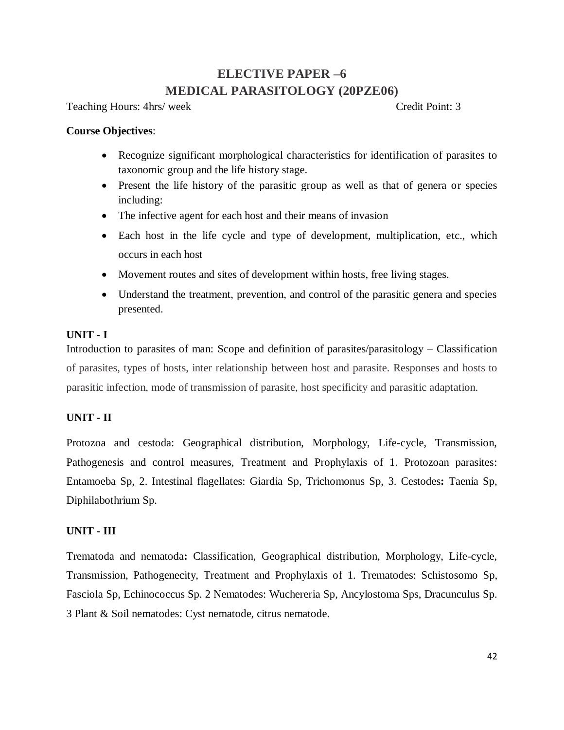### **ELECTIVE PAPER –6 MEDICAL PARASITOLOGY (20PZE06)**

Teaching Hours: 4hrs/ week Credit Point: 3

#### **Course Objectives**:

- Recognize significant morphological characteristics for identification of parasites to taxonomic group and the life history stage.
- Present the life history of the parasitic group as well as that of genera or species including:
- The infective agent for each host and their means of invasion
- Each host in the life cycle and type of development, multiplication, etc., which occurs in each host
- Movement routes and sites of development within hosts, free living stages.
- Understand the treatment, prevention, and control of the parasitic genera and species presented.

#### **UNIT - I**

Introduction to parasites of man: Scope and definition of parasites/parasitology – Classification of parasites, types of hosts, inter relationship between host and parasite. Responses and hosts to parasitic infection, mode of transmission of parasite, host specificity and parasitic adaptation.

### **UNIT - II**

Protozoa and cestoda: Geographical distribution, Morphology, Life-cycle, Transmission, Pathogenesis and control measures, Treatment and Prophylaxis of 1. Protozoan parasites: Entamoeba Sp, 2. Intestinal flagellates: Giardia Sp, Trichomonus Sp, 3. Cestodes**:** Taenia Sp, Diphilabothrium Sp.

#### **UNIT - III**

Trematoda and nematoda**:** Classification, Geographical distribution, Morphology, Life-cycle, Transmission, Pathogenecity, Treatment and Prophylaxis of 1. Trematodes: Schistosomo Sp, Fasciola Sp, Echinococcus Sp. 2 Nematodes: Wuchereria Sp, Ancylostoma Sps, Dracunculus Sp. 3 Plant & Soil nematodes: Cyst nematode, citrus nematode.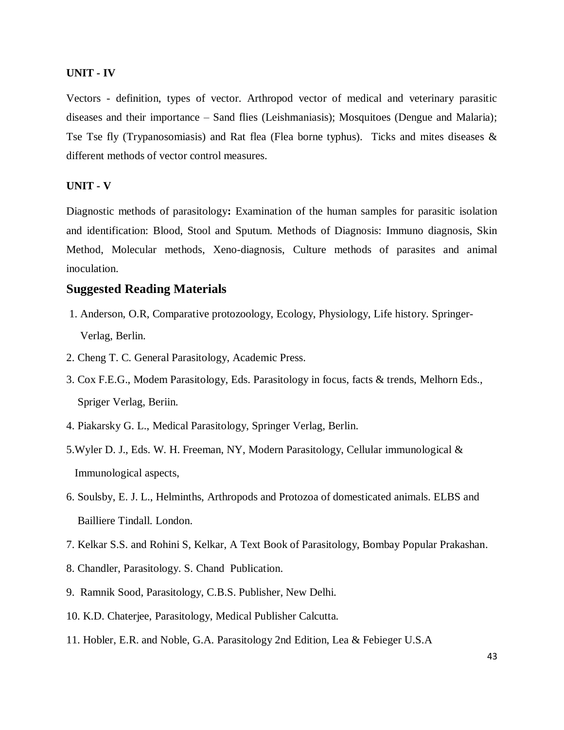#### **UNIT - IV**

Vectors - definition, types of vector. Arthropod vector of medical and veterinary parasitic diseases and their importance – Sand flies (Leishmaniasis); Mosquitoes (Dengue and Malaria); Tse Tse fly (Trypanosomiasis) and Rat flea (Flea borne typhus). Ticks and mites diseases & different methods of vector control measures.

#### **UNIT - V**

Diagnostic methods of parasitology**:** Examination of the human samples for parasitic isolation and identification: Blood, Stool and Sputum. Methods of Diagnosis: Immuno diagnosis, Skin Method, Molecular methods, Xeno-diagnosis, Culture methods of parasites and animal inoculation.

### **Suggested Reading Materials**

- 1. Anderson, O.R, Comparative protozoology, Ecology, Physiology, Life history. Springer- Verlag, Berlin.
- 2. Cheng T. C. General Parasitology, Academic Press.
- 3. Cox F.E.G., Modem Parasitology, Eds. Parasitology in focus, facts & trends, Melhorn Eds., Spriger Verlag, Beriin.
- 4. Piakarsky G. L., Medical Parasitology, Springer Verlag, Berlin.
- 5.Wyler D. J., Eds. W. H. Freeman, NY, Modern Parasitology, Cellular immunological & Immunological aspects,
- 6. Soulsby, E. J. L., Helminths, Arthropods and Protozoa of domesticated animals. ELBS and Bailliere Tindall. London.
- 7. Kelkar S.S. and Rohini S, Kelkar, A Text Book of Parasitology, Bombay Popular Prakashan.
- 8. Chandler, Parasitology. S. Chand Publication.
- 9. Ramnik Sood, Parasitology, C.B.S. Publisher, New Delhi.
- 10. K.D. Chaterjee, Parasitology, Medical Publisher Calcutta.
- 11. Hobler, E.R. and Noble, G.A. Parasitology 2nd Edition, Lea & Febieger U.S.A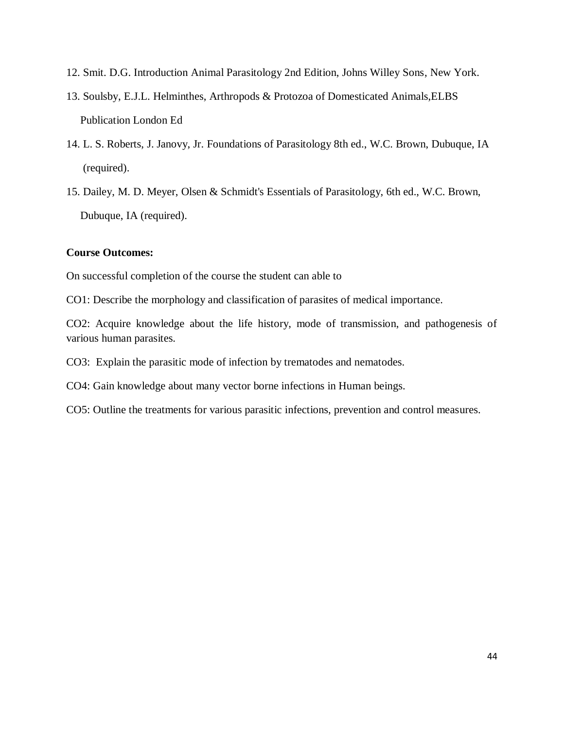- 12. Smit. D.G. Introduction Animal Parasitology 2nd Edition, Johns Willey Sons, New York.
- 13. Soulsby, E.J.L. Helminthes, Arthropods & Protozoa of Domesticated Animals,ELBS Publication London Ed
- 14. L. S. Roberts, J. Janovy, Jr. Foundations of Parasitology 8th ed., W.C. Brown, Dubuque, IA (required).
- 15. Dailey, M. D. Meyer, Olsen & Schmidt's Essentials of Parasitology, 6th ed., W.C. Brown, Dubuque, IA (required).

#### **Course Outcomes:**

On successful completion of the course the student can able to

CO1: Describe the morphology and classification of parasites of medical importance.

CO2: Acquire knowledge about the life history, mode of transmission, and pathogenesis of various human parasites.

CO3: Explain the parasitic mode of infection by trematodes and nematodes.

CO4: Gain knowledge about many vector borne infections in Human beings.

CO5: Outline the treatments for various parasitic infections, prevention and control measures.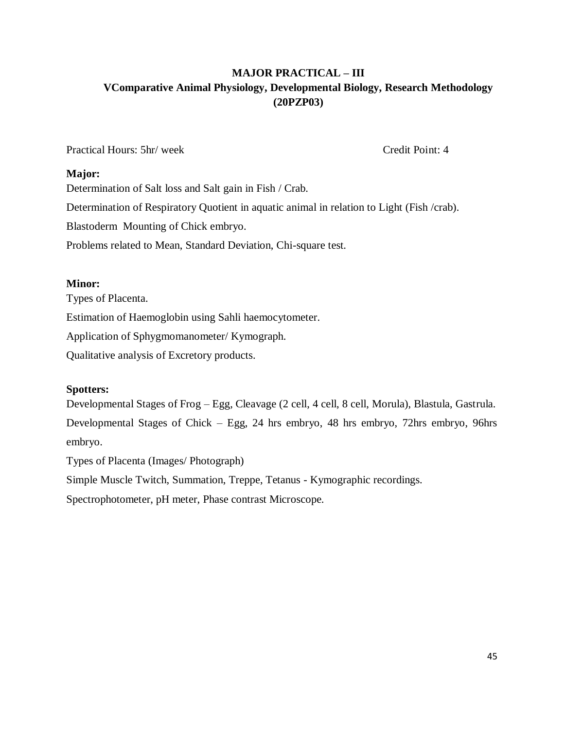### **MAJOR PRACTICAL – III VComparative Animal Physiology, Developmental Biology, Research Methodology (20PZP03)**

Practical Hours: 5hr/ week Credit Point: 4

#### **Major:**

Determination of Salt loss and Salt gain in Fish / Crab. Determination of Respiratory Quotient in aquatic animal in relation to Light (Fish /crab). Blastoderm Mounting of Chick embryo. Problems related to Mean, Standard Deviation, Chi-square test.

### **Minor:**

Types of Placenta. Estimation of Haemoglobin using Sahli haemocytometer. Application of Sphygmomanometer/ Kymograph. Qualitative analysis of Excretory products.

### **Spotters:**

Developmental Stages of Frog – Egg, Cleavage (2 cell, 4 cell, 8 cell, Morula), Blastula, Gastrula. Developmental Stages of Chick – Egg, 24 hrs embryo, 48 hrs embryo, 72hrs embryo, 96hrs embryo.

Types of Placenta (Images/ Photograph)

Simple Muscle Twitch, Summation, Treppe, Tetanus - Kymographic recordings.

Spectrophotometer, pH meter, Phase contrast Microscope.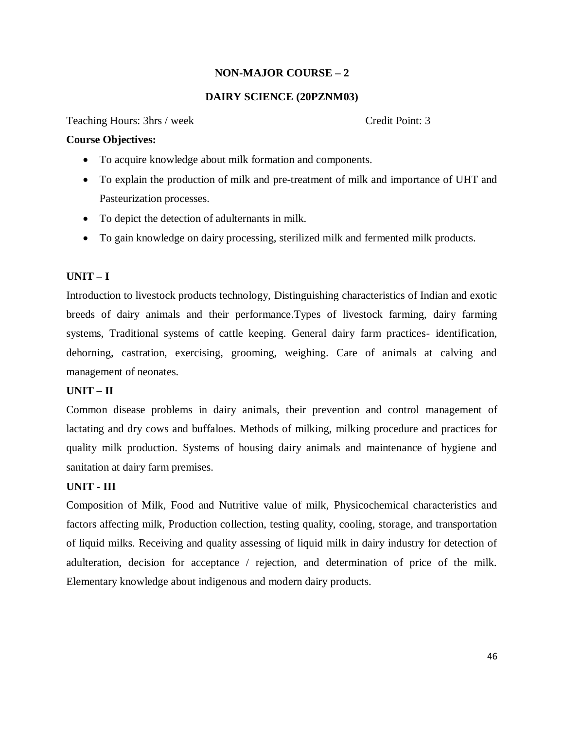### **NON-MAJOR COURSE – 2**

#### **DAIRY SCIENCE (20PZNM03)**

Teaching Hours: 3hrs / week Credit Point: 3

#### **Course Objectives:**

- To acquire knowledge about milk formation and components.
- To explain the production of milk and pre-treatment of milk and importance of UHT and Pasteurization processes.
- To depict the detection of adulternants in milk.
- To gain knowledge on dairy processing, sterilized milk and fermented milk products.

### **UNIT – I**

Introduction to livestock products technology, Distinguishing characteristics of Indian and exotic breeds of dairy animals and their performance.Types of livestock farming, dairy farming systems, Traditional systems of cattle keeping. General dairy farm practices- identification, dehorning, castration, exercising, grooming, weighing. Care of animals at calving and management of neonates.

### **UNIT – II**

Common disease problems in dairy animals, their prevention and control management of lactating and dry cows and buffaloes. Methods of milking, milking procedure and practices for quality milk production. Systems of housing dairy animals and maintenance of hygiene and sanitation at dairy farm premises.

### **UNIT - III**

Composition of Milk, Food and Nutritive value of milk, Physicochemical characteristics and factors affecting milk, Production collection, testing quality, cooling, storage, and transportation of liquid milks. Receiving and quality assessing of liquid milk in dairy industry for detection of adulteration, decision for acceptance / rejection, and determination of price of the milk. Elementary knowledge about indigenous and modern dairy products.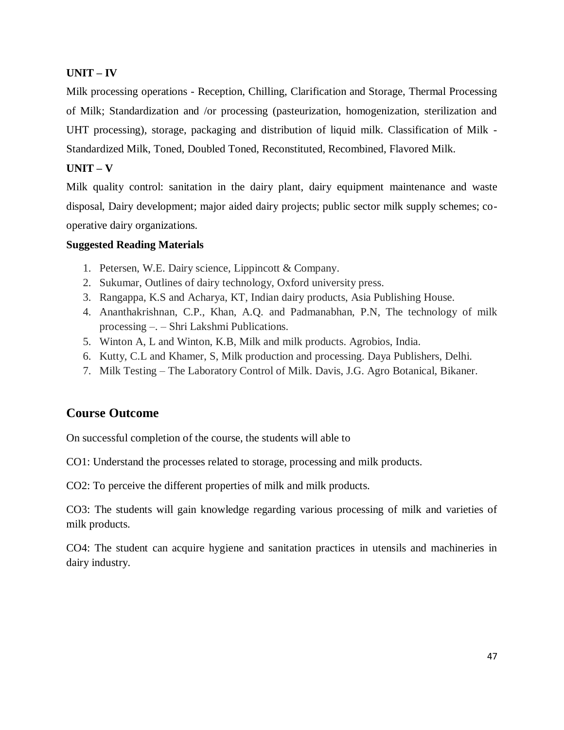### **UNIT – IV**

Milk processing operations - Reception, Chilling, Clarification and Storage, Thermal Processing of Milk; Standardization and /or processing (pasteurization, homogenization, sterilization and UHT processing), storage, packaging and distribution of liquid milk. Classification of Milk - Standardized Milk, Toned, Doubled Toned, Reconstituted, Recombined, Flavored Milk.

### **UNIT – V**

Milk quality control: sanitation in the dairy plant, dairy equipment maintenance and waste disposal, Dairy development; major aided dairy projects; public sector milk supply schemes; cooperative dairy organizations.

### **Suggested Reading Materials**

- 1. Petersen, W.E. Dairy science, Lippincott & Company.
- 2. Sukumar, Outlines of dairy technology, Oxford university press.
- 3. Rangappa, K.S and Acharya, KT, Indian dairy products, Asia Publishing House.
- 4. Ananthakrishnan, C.P., Khan, A.Q. and Padmanabhan, P.N, The technology of milk processing –. – Shri Lakshmi Publications.
- 5. Winton A, L and Winton, K.B, Milk and milk products. Agrobios, India.
- 6. Kutty, C.L and Khamer, S, Milk production and processing. Daya Publishers, Delhi.
- 7. Milk Testing The Laboratory Control of Milk. Davis, J.G. Agro Botanical, Bikaner.

### **Course Outcome**

On successful completion of the course, the students will able to

CO1: Understand the processes related to storage, processing and milk products.

CO2: To perceive the different properties of milk and milk products.

CO3: The students will gain knowledge regarding various processing of milk and varieties of milk products.

CO4: The student can acquire hygiene and sanitation practices in utensils and machineries in dairy industry.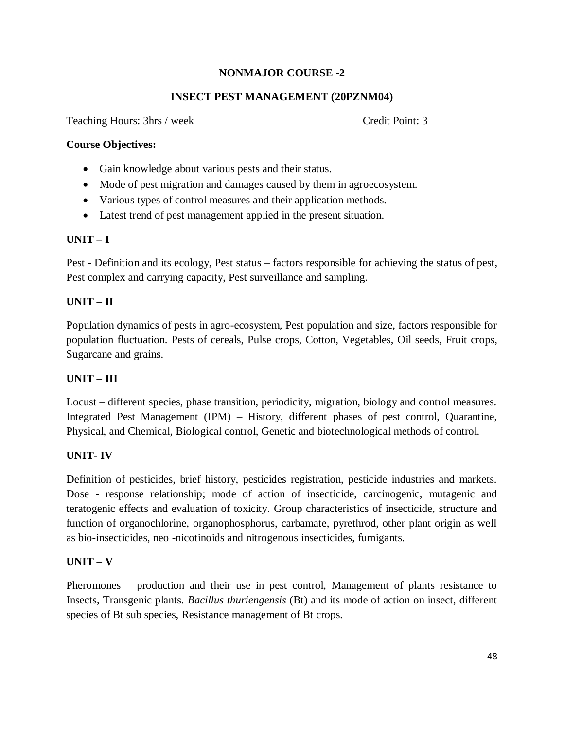### **NONMAJOR COURSE -2**

### **INSECT PEST MANAGEMENT (20PZNM04)**

Teaching Hours: 3hrs / week Credit Point: 3

### **Course Objectives:**

- Gain knowledge about various pests and their status.
- Mode of pest migration and damages caused by them in agroecosystem.
- Various types of control measures and their application methods.
- Latest trend of pest management applied in the present situation.

### **UNIT – I**

Pest - Definition and its ecology, Pest status – factors responsible for achieving the status of pest, Pest complex and carrying capacity, Pest surveillance and sampling.

### **UNIT – II**

Population dynamics of pests in agro-ecosystem, Pest population and size, factors responsible for population fluctuation. Pests of cereals, Pulse crops, Cotton, Vegetables, Oil seeds, Fruit crops, Sugarcane and grains.

### **UNIT – III**

Locust – different species, phase transition, periodicity, migration, biology and control measures. Integrated Pest Management (IPM) – History, different phases of pest control, Quarantine, Physical, and Chemical, Biological control, Genetic and biotechnological methods of control.

### **UNIT- IV**

Definition of pesticides, brief history, pesticides registration, pesticide industries and markets. Dose - response relationship; mode of action of insecticide, carcinogenic, mutagenic and teratogenic effects and evaluation of toxicity. Group characteristics of insecticide, structure and function of organochlorine, organophosphorus, carbamate, pyrethrod, other plant origin as well as bio-insecticides, neo -nicotinoids and nitrogenous insecticides, fumigants.

### **UNIT – V**

Pheromones – production and their use in pest control, Management of plants resistance to Insects, Transgenic plants. *Bacillus thuriengensis* (Bt) and its mode of action on insect, different species of Bt sub species, Resistance management of Bt crops.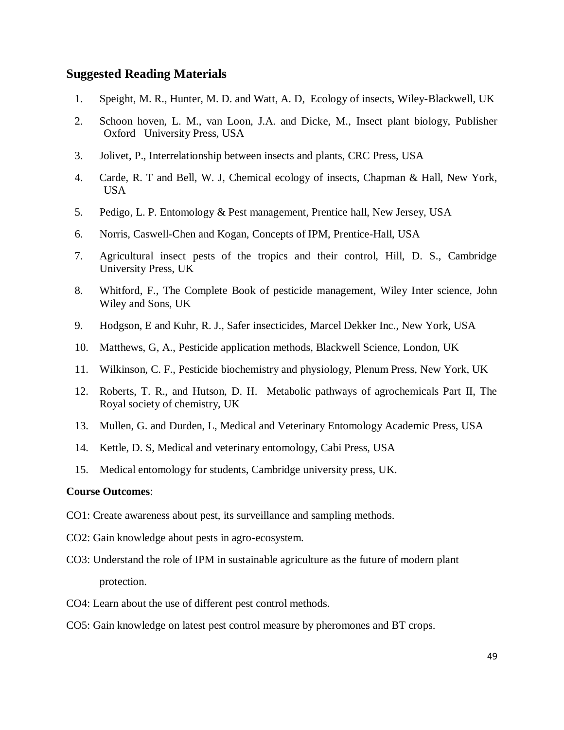#### **Suggested Reading Materials**

- 1. Speight, M. R., Hunter, M. D. and Watt, A. D, Ecology of insects, Wiley-Blackwell, UK
- 2. Schoon hoven, L. M., van Loon, J.A. and Dicke, M., Insect plant biology, Publisher Oxford University Press, USA
- 3. Jolivet, P., Interrelationship between insects and plants, CRC Press, USA
- 4. Carde, R. T and Bell, W. J, Chemical ecology of insects, Chapman & Hall, New York, **USA**
- 5. Pedigo, L. P. Entomology & Pest management, Prentice hall, New Jersey, USA
- 6. Norris, Caswell-Chen and Kogan, Concepts of IPM, Prentice-Hall, USA
- 7. Agricultural insect pests of the tropics and their control, Hill, D. S., Cambridge University Press, UK
- 8. Whitford, F., The Complete Book of pesticide management, Wiley Inter science, John Wiley and Sons, UK
- 9. Hodgson, E and Kuhr, R. J., Safer insecticides, Marcel Dekker Inc., New York, USA
- 10. Matthews, G, A., Pesticide application methods, Blackwell Science, London, UK
- 11. Wilkinson, C. F., Pesticide biochemistry and physiology, Plenum Press, New York, UK
- 12. Roberts, T. R., and Hutson, D. H. Metabolic pathways of agrochemicals Part II, The Royal society of chemistry, UK
- 13. Mullen, G. and Durden, L, Medical and Veterinary Entomology Academic Press, USA
- 14. Kettle, D. S, Medical and veterinary entomology, Cabi Press, USA
- 15. Medical entomology for students, Cambridge university press, UK.

#### **Course Outcomes**:

- CO1: Create awareness about pest, its surveillance and sampling methods.
- CO2: Gain knowledge about pests in agro-ecosystem.
- CO3: Understand the role of IPM in sustainable agriculture as the future of modern plant protection.
- CO4: Learn about the use of different pest control methods.
- CO5: Gain knowledge on latest pest control measure by pheromones and BT crops.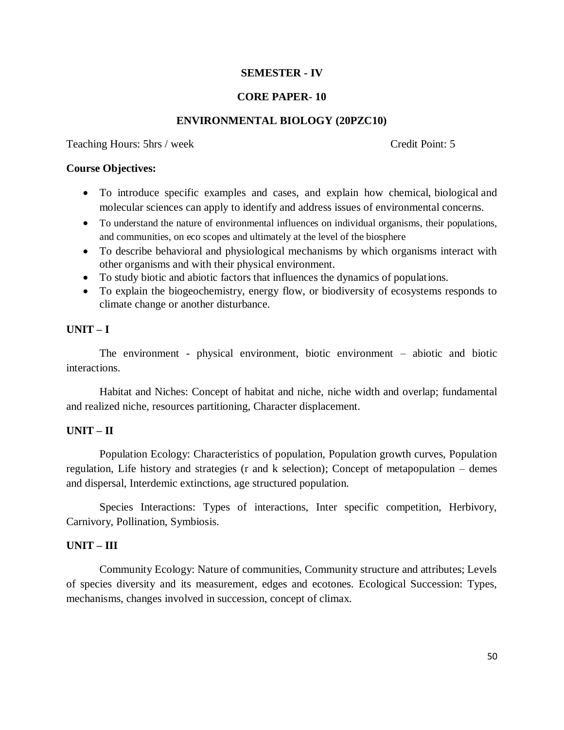### **SEMESTER - IV**

#### **CORE PAPER- 10**

#### **ENVIRONMENTAL BIOLOGY (20PZC10)**

Teaching Hours: 5hrs / week Credit Point: 5

#### **Course Objectives:**

- To introduce specific examples and cases, and explain how chemical, biological and molecular sciences can apply to identify and address issues of environmental concerns.
- To understand the nature of environmental influences on individual organisms, their populations, and communities, on eco scopes and ultimately at the level of the biosphere
- To describe behavioral and physiological mechanisms by which organisms interact with other organisms and with their physical environment.
- To study biotic and abiotic factors that influences the dynamics of populations.
- To explain the biogeochemistry, energy flow, or biodiversity of ecosystems responds to climate change or another disturbance.

#### **UNIT – I**

The environment - physical environment, biotic environment – abiotic and biotic interactions.

Habitat and Niches: Concept of habitat and niche, niche width and overlap; fundamental and realized niche, resources partitioning, Character displacement.

### **UNIT – II**

Population Ecology: Characteristics of population, Population growth curves, Population regulation, Life history and strategies (r and k selection); Concept of metapopulation – demes and dispersal, Interdemic extinctions, age structured population.

Species Interactions: Types of interactions, Inter specific competition, Herbivory, Carnivory, Pollination, Symbiosis.

#### **UNIT – III**

Community Ecology: Nature of communities, Community structure and attributes; Levels of species diversity and its measurement, edges and ecotones. Ecological Succession: Types, mechanisms, changes involved in succession, concept of climax.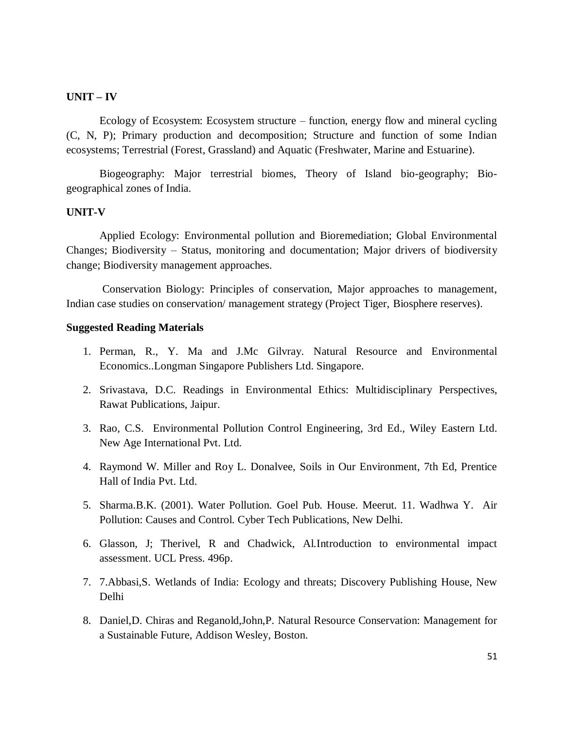#### **UNIT – IV**

Ecology of Ecosystem: Ecosystem structure – function, energy flow and mineral cycling (C, N, P); Primary production and decomposition; Structure and function of some Indian ecosystems; Terrestrial (Forest, Grassland) and Aquatic (Freshwater, Marine and Estuarine).

Biogeography: Major terrestrial biomes, Theory of Island bio-geography; Biogeographical zones of India.

#### **UNIT-V**

Applied Ecology: Environmental pollution and Bioremediation; Global Environmental Changes; Biodiversity – Status, monitoring and documentation; Major drivers of biodiversity change; Biodiversity management approaches.

Conservation Biology: Principles of conservation, Major approaches to management, Indian case studies on conservation/ management strategy (Project Tiger, Biosphere reserves).

#### **Suggested Reading Materials**

- 1. Perman, R., Y. Ma and J.Mc Gilvray. Natural Resource and Environmental Economics..Longman Singapore Publishers Ltd. Singapore.
- 2. Srivastava, D.C. Readings in Environmental Ethics: Multidisciplinary Perspectives, Rawat Publications, Jaipur.
- 3. Rao, C.S. Environmental Pollution Control Engineering, 3rd Ed., Wiley Eastern Ltd. New Age International Pvt. Ltd.
- 4. Raymond W. Miller and Roy L. Donalvee, Soils in Our Environment, 7th Ed, Prentice Hall of India Pvt. Ltd.
- 5. Sharma.B.K. (2001). Water Pollution. Goel Pub. House. Meerut. 11. Wadhwa Y. Air Pollution: Causes and Control. Cyber Tech Publications, New Delhi.
- 6. Glasson, J; Therivel, R and Chadwick, Al.Introduction to environmental impact assessment. UCL Press. 496p.
- 7. 7.Abbasi,S. Wetlands of India: Ecology and threats; Discovery Publishing House, New Delhi
- 8. Daniel,D. Chiras and Reganold,John,P. Natural Resource Conservation: Management for a Sustainable Future, Addison Wesley, Boston.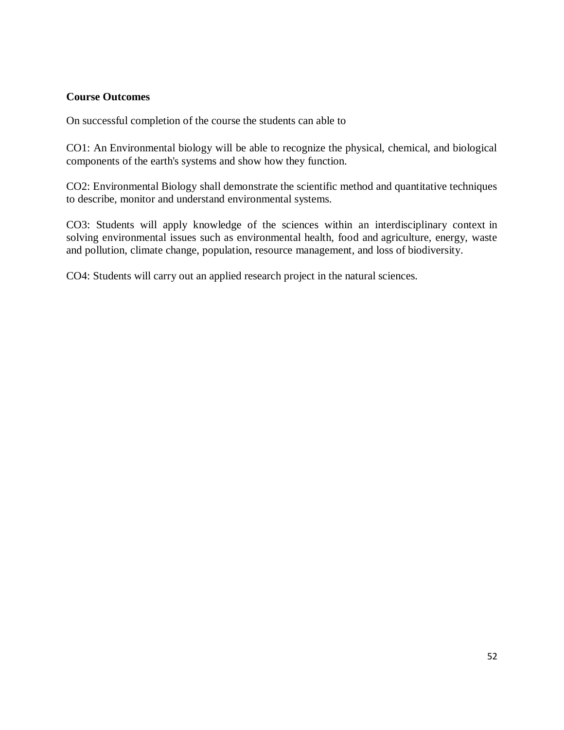#### **Course Outcomes**

On successful completion of the course the students can able to

CO1: An Environmental biology will be able to recognize the physical, chemical, and biological components of the earth's systems and show how they function.

CO2: Environmental Biology shall demonstrate the scientific method and quantitative techniques to describe, monitor and understand environmental systems.

CO3: Students will apply knowledge of the sciences within an interdisciplinary context in solving environmental issues such as environmental health, food and agriculture, energy, waste and pollution, climate change, population, resource management, and loss of biodiversity.

CO4: Students will carry out an applied research project in the natural sciences.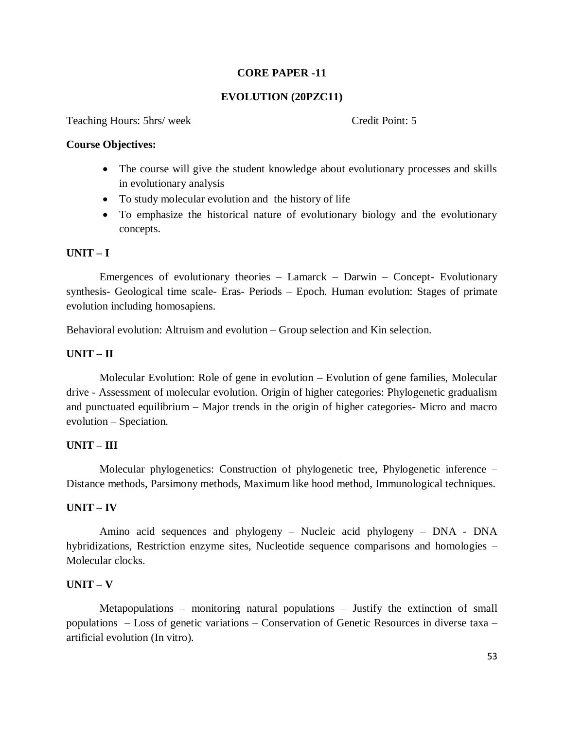### **CORE PAPER -11**

#### **EVOLUTION (20PZC11)**

Teaching Hours: 5hrs/ week Credit Point: 5

#### **Course Objectives:**

- The course will give the student knowledge about evolutionary processes and skills in evolutionary analysis
- To study molecular evolution and the history of life
- To emphasize the historical nature of evolutionary biology and the evolutionary concepts.

#### **UNIT – I**

Emergences of evolutionary theories – Lamarck – Darwin – Concept- Evolutionary synthesis- Geological time scale- Eras- Periods – Epoch. Human evolution: Stages of primate evolution including homosapiens.

Behavioral evolution: Altruism and evolution – Group selection and Kin selection.

#### **UNIT – II**

Molecular Evolution: Role of gene in evolution – Evolution of gene families, Molecular drive - Assessment of molecular evolution. Origin of higher categories: Phylogenetic gradualism and punctuated equilibrium – Major trends in the origin of higher categories- Micro and macro evolution – Speciation.

#### **UNIT – III**

Molecular phylogenetics: Construction of phylogenetic tree, Phylogenetic inference – Distance methods, Parsimony methods, Maximum like hood method, Immunological techniques.

#### **UNIT – IV**

Amino acid sequences and phylogeny – Nucleic acid phylogeny – DNA - DNA hybridizations, Restriction enzyme sites, Nucleotide sequence comparisons and homologies – Molecular clocks.

#### **UNIT – V**

Metapopulations – monitoring natural populations – Justify the extinction of small populations – Loss of genetic variations – Conservation of Genetic Resources in diverse taxa – artificial evolution (In vitro).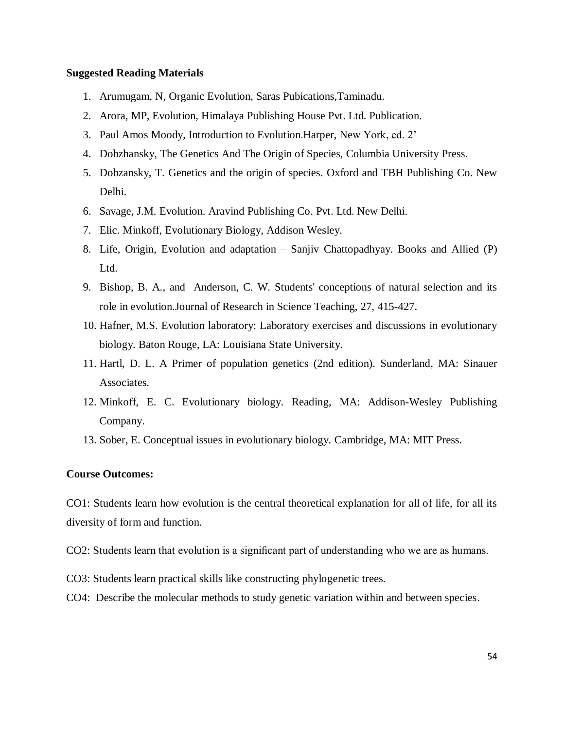#### **Suggested Reading Materials**

- 1. Arumugam, N, Organic Evolution, Saras Pubications,Taminadu.
- 2. Arora, MP, Evolution, Himalaya Publishing House Pvt. Ltd. Publication.
- 3. Paul Amos Moody*,* Introduction to Evolution.Harper, New York, ed. 2'
- 4. Dobzhansky, The Genetics And The Origin of Species, Columbia University Press.
- 5. Dobzansky, T. Genetics and the origin of species. Oxford and TBH Publishing Co. New Delhi.
- 6. Savage, J.M. Evolution. Aravind Publishing Co. Pvt. Ltd. New Delhi.
- 7. Elic. Minkoff, Evolutionary Biology, Addison Wesley.
- 8. Life, Origin, Evolution and adaptation Sanjiv Chattopadhyay. Books and Allied (P) Ltd.
- 9. Bishop, B. A., and Anderson, C. W. Students' conceptions of natural selection and its role in evolution.Journal of Research in Science Teaching, 27, 415-427.
- 10. Hafner, M.S. Evolution laboratory: Laboratory exercises and discussions in evolutionary biology. Baton Rouge, LA: Louisiana State University.
- 11. Hartl, D. L. A Primer of population genetics (2nd edition). Sunderland, MA: Sinauer Associates.
- 12. Minkoff, E. C. Evolutionary biology. Reading, MA: Addison-Wesley Publishing Company.
- 13. Sober, E. Conceptual issues in evolutionary biology. Cambridge, MA: MIT Press.

#### **Course Outcomes:**

CO1: Students learn how evolution is the central theoretical explanation for all of life, for all its diversity of form and function.

- CO2: Students learn that evolution is a significant part of understanding who we are as humans.
- CO3: Students learn practical skills like constructing phylogenetic trees.
- CO4: Describe the molecular methods to study genetic variation within and between species.